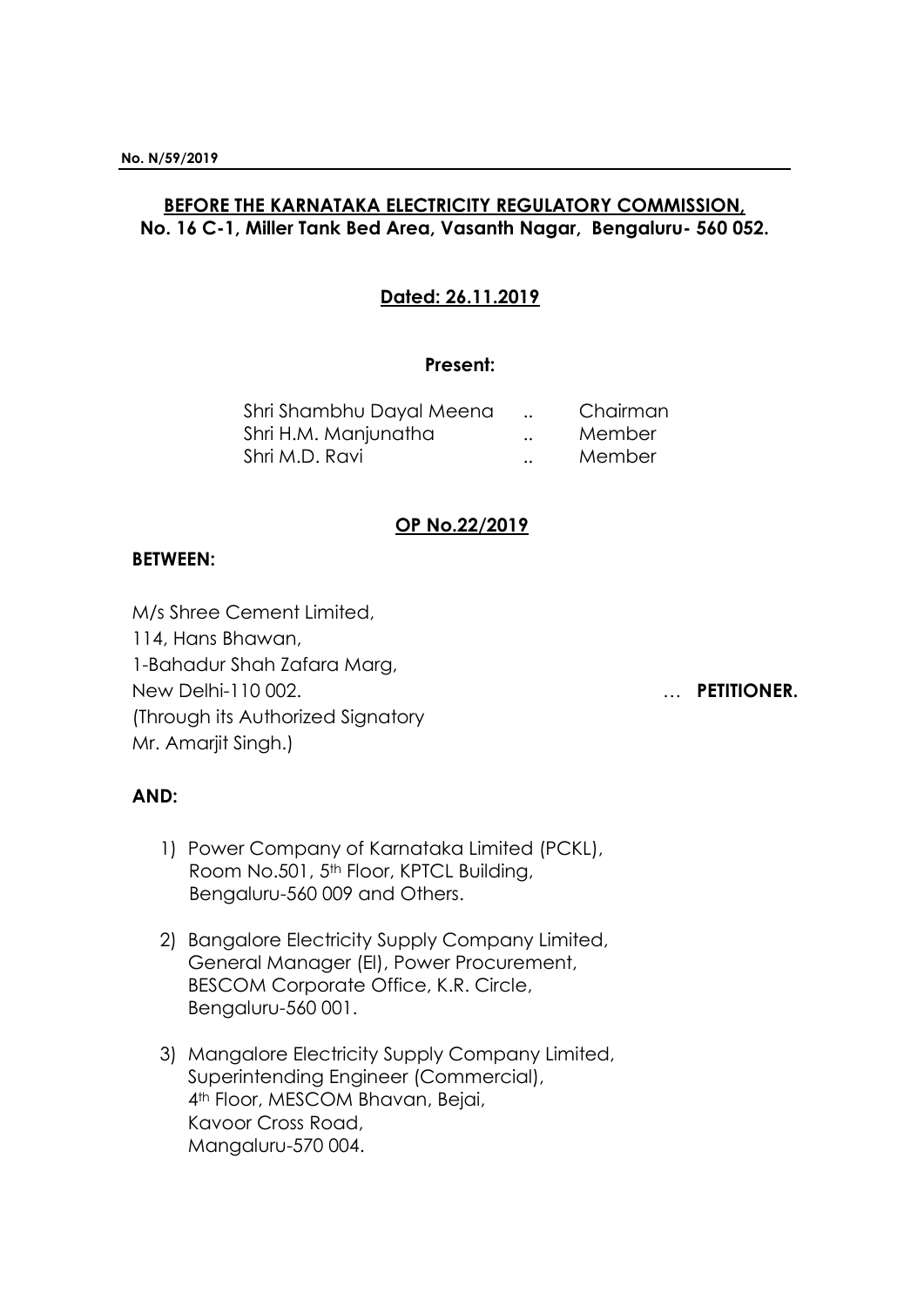# **BEFORE THE KARNATAKA ELECTRICITY REGULATORY COMMISSION, No. 16 C-1, Miller Tank Bed Area, Vasanth Nagar, Bengaluru- 560 052.**

## **Dated: 26.11.2019**

### **Present:**

| Shri Shambhu Dayal Meena |                      | Chairman |
|--------------------------|----------------------|----------|
| Shri H.M. Manjunatha     | $\ddot{\phantom{0}}$ | Member   |
| Shri M.D. Ravi           |                      | Member   |

## **OP No.22/2019**

## **BETWEEN:**

M/s Shree Cement Limited, 114, Hans Bhawan, 1-Bahadur Shah Zafara Marg, New Delhi-110 002. … **PETITIONER.** (Through its Authorized Signatory Mr. Amarjit Singh.)

# **AND:**

- 1) Power Company of Karnataka Limited (PCKL), Room No.501, 5<sup>th</sup> Floor, KPTCL Building, Bengaluru-560 009 and Others.
- 2) Bangalore Electricity Supply Company Limited, General Manager (El), Power Procurement, BESCOM Corporate Office, K.R. Circle, Bengaluru-560 001.
- 3) Mangalore Electricity Supply Company Limited, Superintending Engineer (Commercial), 4th Floor, MESCOM Bhavan, Bejai, Kavoor Cross Road, Mangaluru-570 004.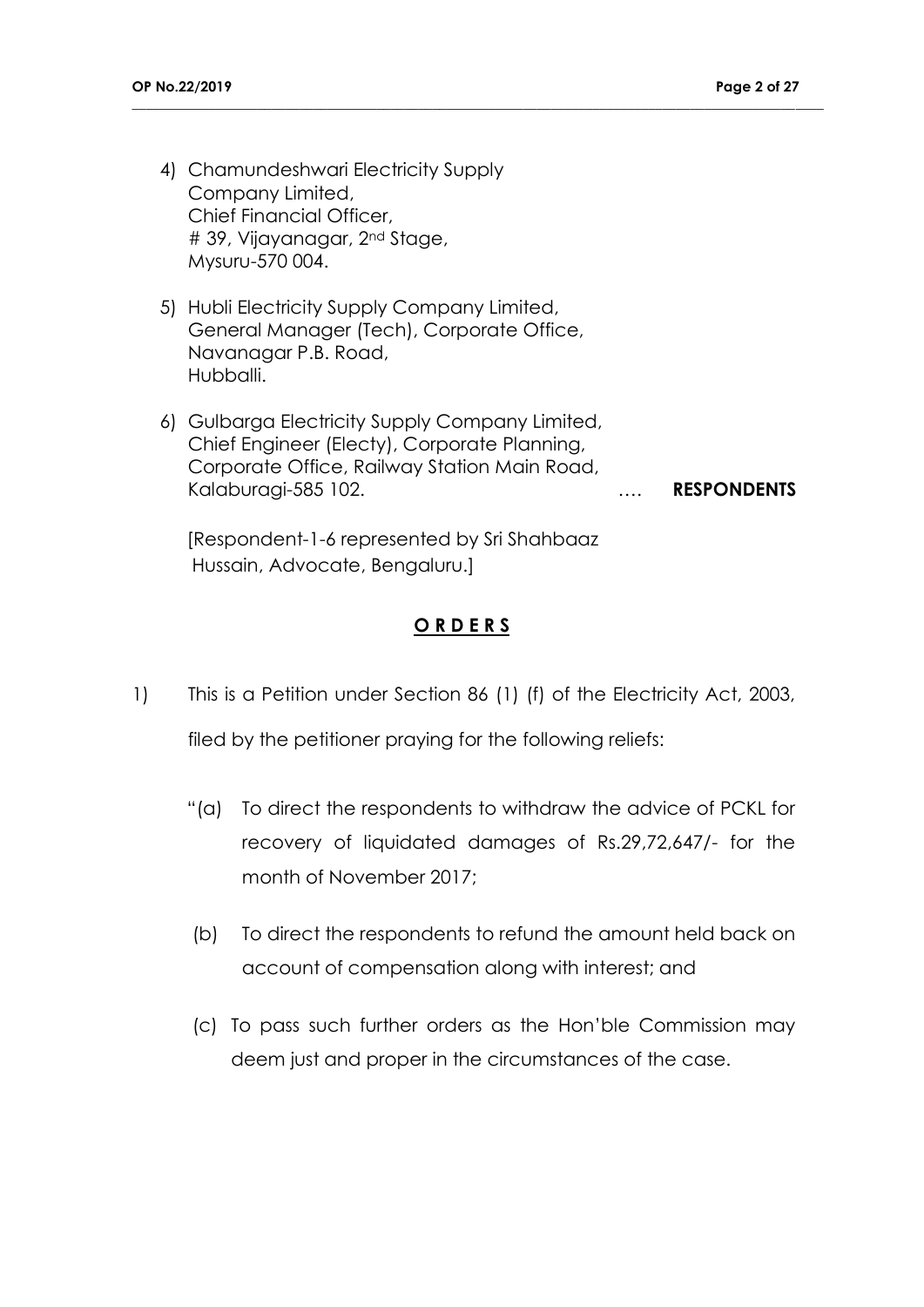- 4) Chamundeshwari Electricity Supply Company Limited, Chief Financial Officer, # 39, Vijayanagar, 2nd Stage, Mysuru-570 004.
- 5) Hubli Electricity Supply Company Limited, General Manager (Tech), Corporate Office, Navanagar P.B. Road, Hubballi.
- 6) Gulbarga Electricity Supply Company Limited, Chief Engineer (Electy), Corporate Planning, Corporate Office, Railway Station Main Road, Kalaburagi-585 102. …. **RESPONDENTS**

**\_\_\_\_\_\_\_\_\_\_\_\_\_\_\_\_\_\_\_\_\_\_\_\_\_\_\_\_\_\_\_\_\_\_\_\_\_\_\_\_\_\_\_\_\_\_\_\_\_\_\_\_\_\_\_\_\_\_\_\_\_\_\_\_\_\_\_\_\_\_\_\_\_\_\_\_\_\_\_\_\_\_\_\_\_\_\_\_\_\_\_\_\_\_\_\_\_\_\_**

[Respondent-1-6 represented by Sri Shahbaaz Hussain, Advocate, Bengaluru.]

## **O R D E R S**

1) This is a Petition under Section 86 (1) (f) of the Electricity Act, 2003,

filed by the petitioner praying for the following reliefs:

- "(a) To direct the respondents to withdraw the advice of PCKL for recovery of liquidated damages of Rs.29,72,647/- for the month of November 2017;
- (b) To direct the respondents to refund the amount held back on account of compensation along with interest; and
- (c) To pass such further orders as the Hon'ble Commission may deem just and proper in the circumstances of the case.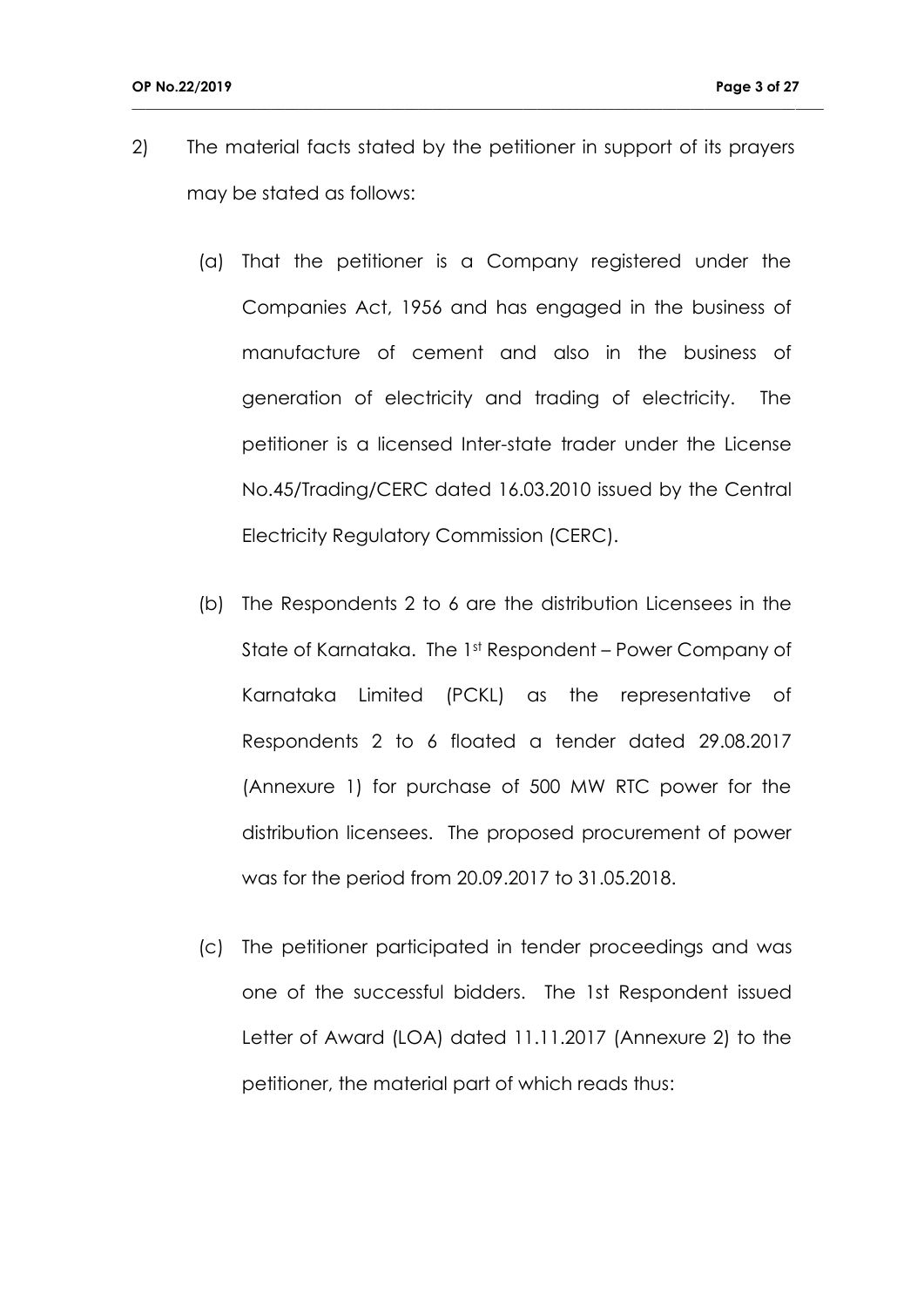2) The material facts stated by the petitioner in support of its prayers may be stated as follows:

- (a) That the petitioner is a Company registered under the Companies Act, 1956 and has engaged in the business of manufacture of cement and also in the business of generation of electricity and trading of electricity. The petitioner is a licensed Inter-state trader under the License No.45/Trading/CERC dated 16.03.2010 issued by the Central Electricity Regulatory Commission (CERC).
- (b) The Respondents 2 to 6 are the distribution Licensees in the State of Karnataka. The 1st Respondent – Power Company of Karnataka Limited (PCKL) as the representative of Respondents 2 to 6 floated a tender dated 29.08.2017 (Annexure 1) for purchase of 500 MW RTC power for the distribution licensees. The proposed procurement of power was for the period from 20.09.2017 to 31.05.2018.
- (c) The petitioner participated in tender proceedings and was one of the successful bidders. The 1st Respondent issued Letter of Award (LOA) dated 11.11.2017 (Annexure 2) to the petitioner, the material part of which reads thus: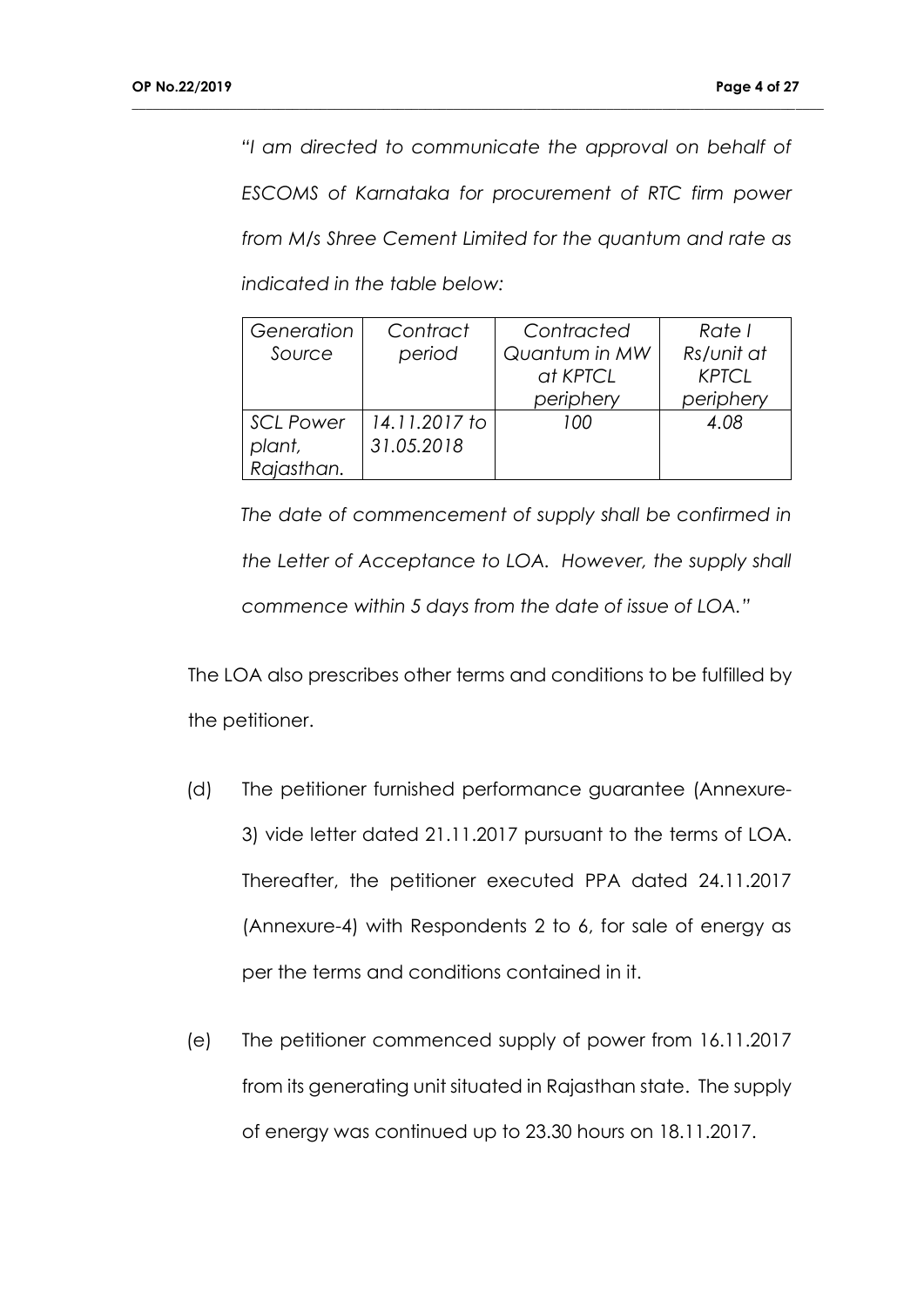*"I am directed to communicate the approval on behalf of ESCOMS of Karnataka for procurement of RTC firm power from M/s Shree Cement Limited for the quantum and rate as indicated in the table below:*

**\_\_\_\_\_\_\_\_\_\_\_\_\_\_\_\_\_\_\_\_\_\_\_\_\_\_\_\_\_\_\_\_\_\_\_\_\_\_\_\_\_\_\_\_\_\_\_\_\_\_\_\_\_\_\_\_\_\_\_\_\_\_\_\_\_\_\_\_\_\_\_\_\_\_\_\_\_\_\_\_\_\_\_\_\_\_\_\_\_\_\_\_\_\_\_\_\_\_\_**

| Generation       | Contract      | Contracted    | Rate I       |
|------------------|---------------|---------------|--------------|
| Source           | period        | Quantum in MW | Rs/unit at   |
|                  |               | at KPTCL      | <b>KPTCL</b> |
|                  |               | periphery     | periphery    |
| <b>SCL Power</b> | 14.11.2017 to | 100           | 4.08         |
| plant,           | 31.05.2018    |               |              |
| Rajasthan.       |               |               |              |

*The date of commencement of supply shall be confirmed in the Letter of Acceptance to LOA. However, the supply shall commence within 5 days from the date of issue of LOA."*

The LOA also prescribes other terms and conditions to be fulfilled by the petitioner.

- (d) The petitioner furnished performance guarantee (Annexure-3) vide letter dated 21.11.2017 pursuant to the terms of LOA. Thereafter, the petitioner executed PPA dated 24.11.2017 (Annexure-4) with Respondents 2 to 6, for sale of energy as per the terms and conditions contained in it.
- (e) The petitioner commenced supply of power from 16.11.2017 from its generating unit situated in Rajasthan state. The supply of energy was continued up to 23.30 hours on 18.11.2017.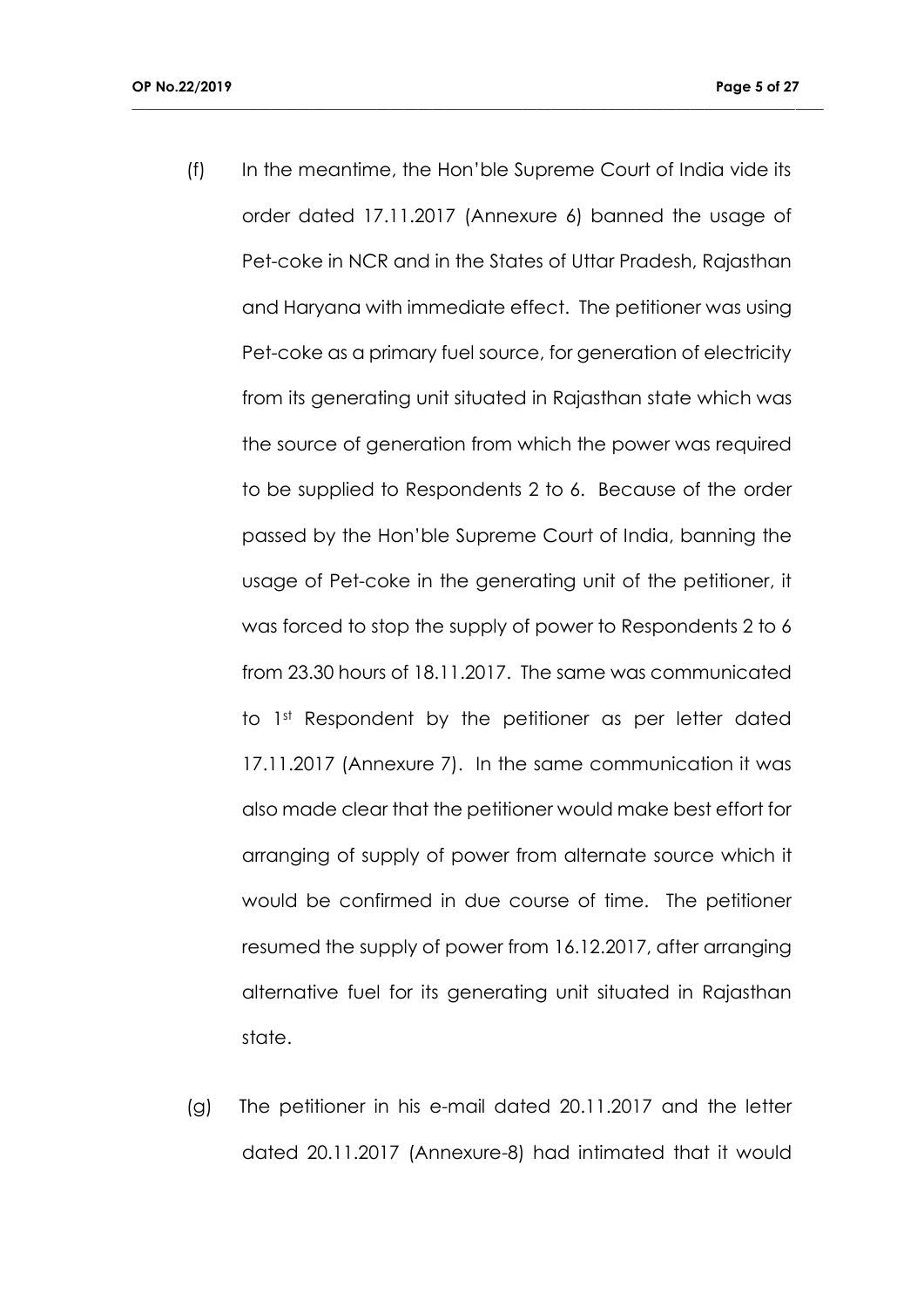(f) In the meantime, the Hon'ble Supreme Court of India vide its order dated 17.11.2017 (Annexure 6) banned the usage of Pet-coke in NCR and in the States of Uttar Pradesh, Rajasthan and Haryana with immediate effect. The petitioner was using Pet-coke as a primary fuel source, for generation of electricity from its generating unit situated in Rajasthan state which was the source of generation from which the power was required to be supplied to Respondents 2 to 6. Because of the order passed by the Hon'ble Supreme Court of India, banning the usage of Pet-coke in the generating unit of the petitioner, it was forced to stop the supply of power to Respondents 2 to 6 from 23.30 hours of 18.11.2017. The same was communicated to 1st Respondent by the petitioner as per letter dated 17.11.2017 (Annexure 7). In the same communication it was also made clear that the petitioner would make best effort for arranging of supply of power from alternate source which it would be confirmed in due course of time. The petitioner resumed the supply of power from 16.12.2017, after arranging alternative fuel for its generating unit situated in Rajasthan state.

**\_\_\_\_\_\_\_\_\_\_\_\_\_\_\_\_\_\_\_\_\_\_\_\_\_\_\_\_\_\_\_\_\_\_\_\_\_\_\_\_\_\_\_\_\_\_\_\_\_\_\_\_\_\_\_\_\_\_\_\_\_\_\_\_\_\_\_\_\_\_\_\_\_\_\_\_\_\_\_\_\_\_\_\_\_\_\_\_\_\_\_\_\_\_\_\_\_\_\_**

(g) The petitioner in his e-mail dated 20.11.2017 and the letter dated 20.11.2017 (Annexure-8) had intimated that it would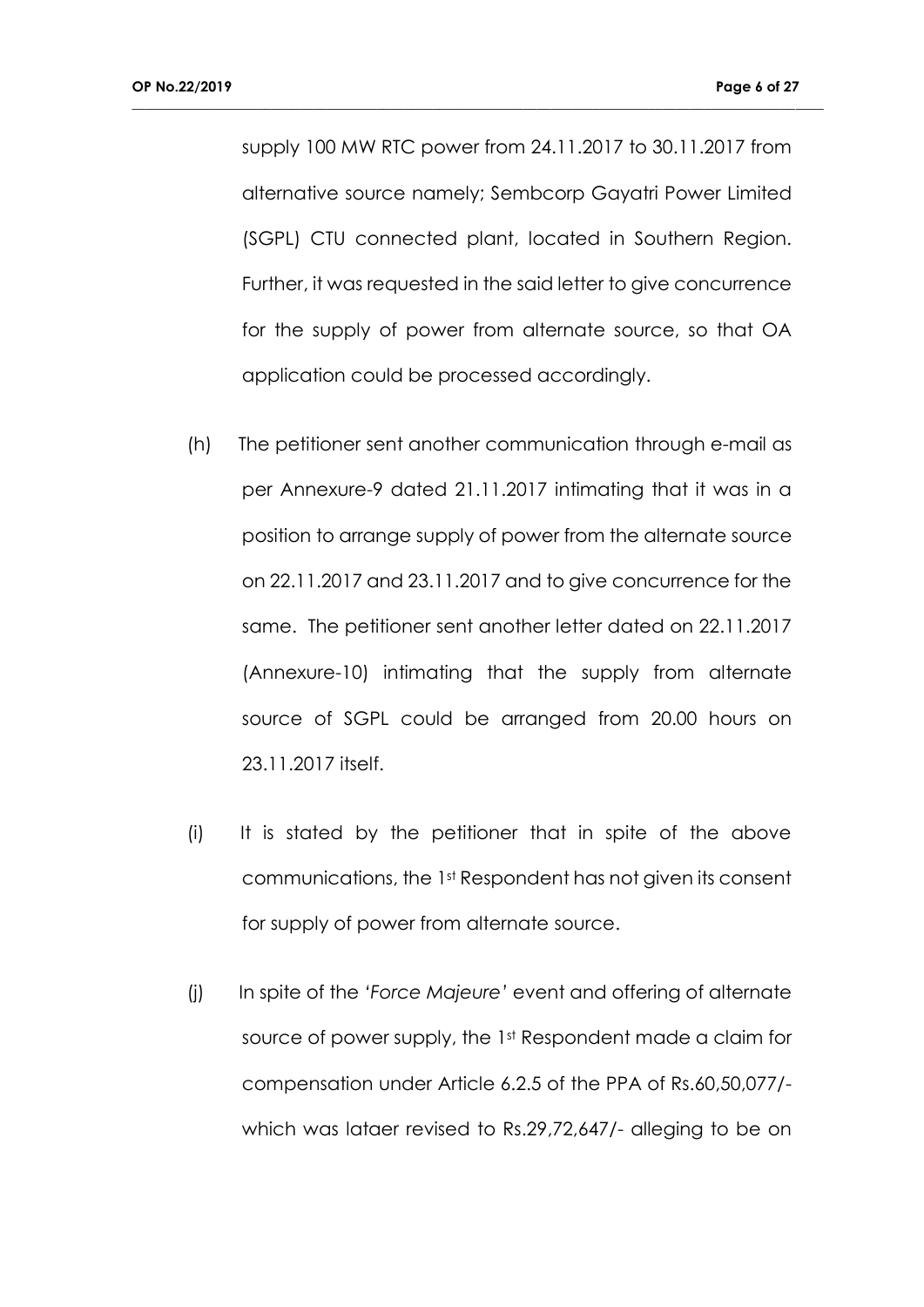supply 100 MW RTC power from 24.11.2017 to 30.11.2017 from alternative source namely; Sembcorp Gayatri Power Limited (SGPL) CTU connected plant, located in Southern Region. Further, it was requested in the said letter to give concurrence for the supply of power from alternate source, so that OA application could be processed accordingly.

- (h) The petitioner sent another communication through e-mail as per Annexure-9 dated 21.11.2017 intimating that it was in a position to arrange supply of power from the alternate source on 22.11.2017 and 23.11.2017 and to give concurrence for the same. The petitioner sent another letter dated on 22.11.2017 (Annexure-10) intimating that the supply from alternate source of SGPL could be arranged from 20.00 hours on 23.11.2017 itself.
- (i) It is stated by the petitioner that in spite of the above communications, the 1st Respondent has not given its consent for supply of power from alternate source.
- (j) In spite of the *'Force Majeure'* event and offering of alternate source of power supply, the 1st Respondent made a claim for compensation under Article 6.2.5 of the PPA of Rs.60,50,077/ which was lataer revised to Rs.29,72,647/- alleging to be on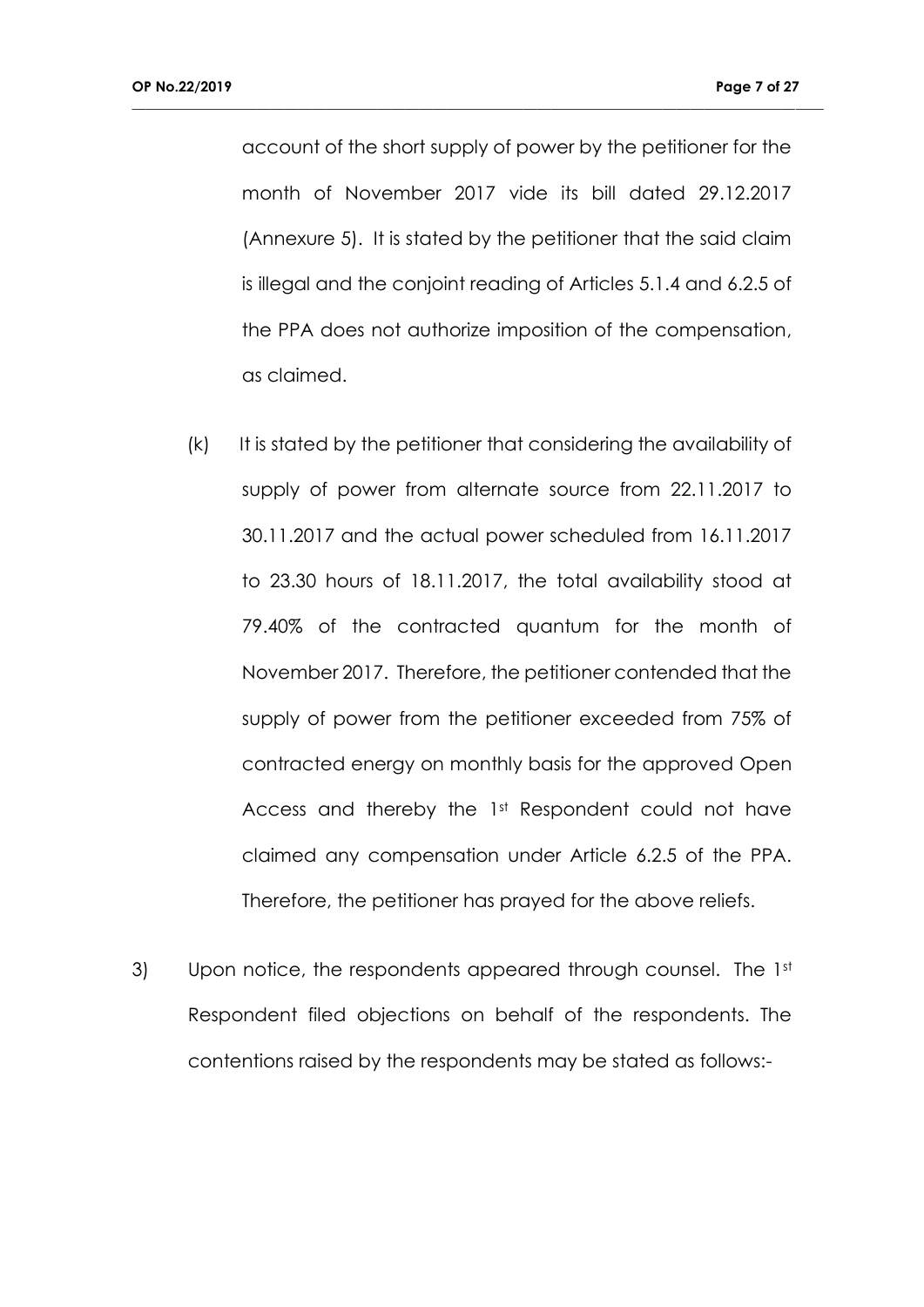account of the short supply of power by the petitioner for the month of November 2017 vide its bill dated 29.12.2017 (Annexure 5). It is stated by the petitioner that the said claim is illegal and the conjoint reading of Articles 5.1.4 and 6.2.5 of the PPA does not authorize imposition of the compensation, as claimed.

- (k) It is stated by the petitioner that considering the availability of supply of power from alternate source from 22.11.2017 to 30.11.2017 and the actual power scheduled from 16.11.2017 to 23.30 hours of 18.11.2017, the total availability stood at 79.40% of the contracted quantum for the month of November 2017. Therefore, the petitioner contended that the supply of power from the petitioner exceeded from 75% of contracted energy on monthly basis for the approved Open Access and thereby the 1st Respondent could not have claimed any compensation under Article 6.2.5 of the PPA. Therefore, the petitioner has prayed for the above reliefs.
- 3) Upon notice, the respondents appeared through counsel. The 1st Respondent filed objections on behalf of the respondents. The contentions raised by the respondents may be stated as follows:-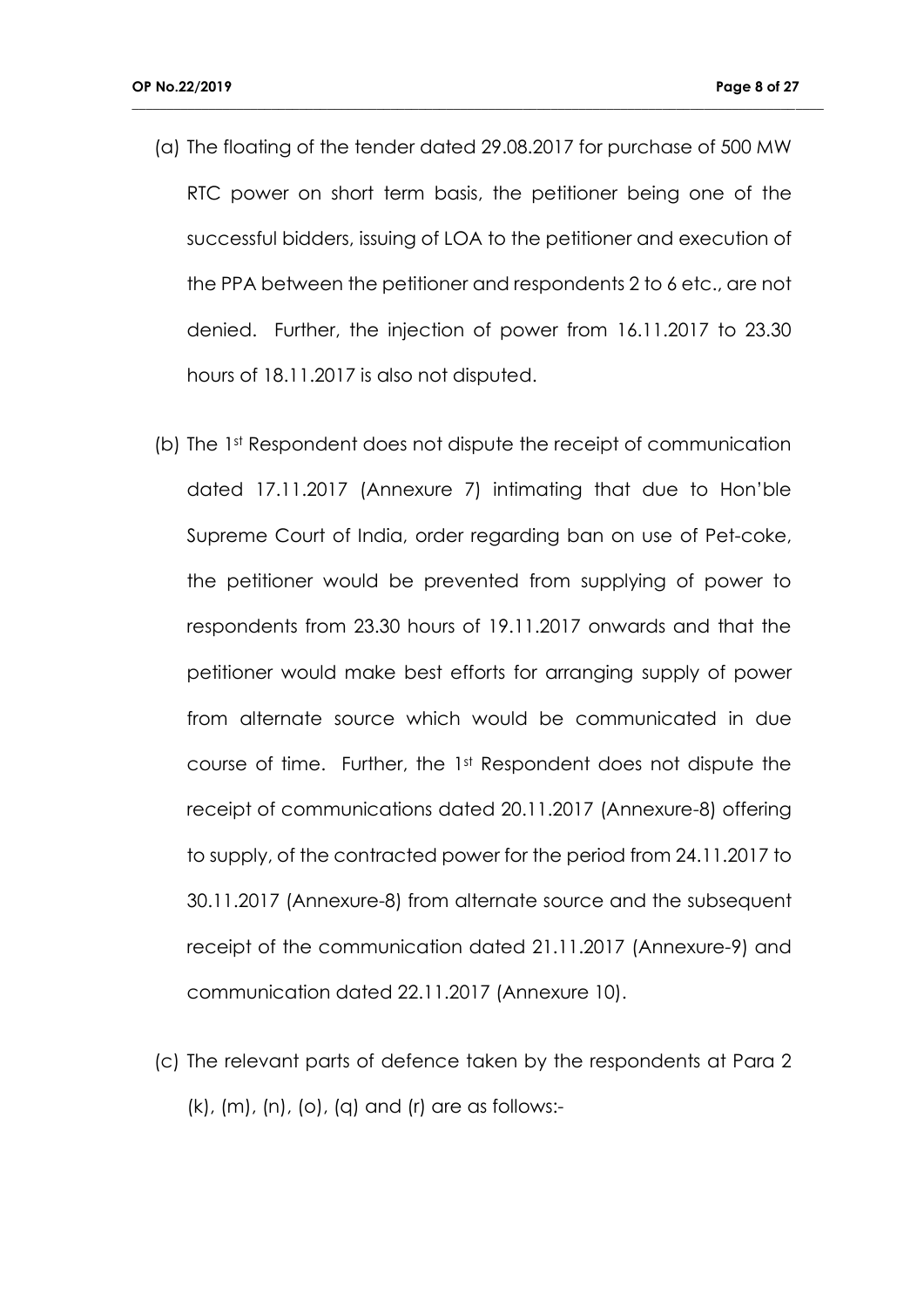(a) The floating of the tender dated 29.08.2017 for purchase of 500 MW RTC power on short term basis, the petitioner being one of the successful bidders, issuing of LOA to the petitioner and execution of the PPA between the petitioner and respondents 2 to 6 etc., are not denied. Further, the injection of power from 16.11.2017 to 23.30 hours of 18.11.2017 is also not disputed.

- (b) The 1st Respondent does not dispute the receipt of communication dated 17.11.2017 (Annexure 7) intimating that due to Hon'ble Supreme Court of India, order regarding ban on use of Pet-coke, the petitioner would be prevented from supplying of power to respondents from 23.30 hours of 19.11.2017 onwards and that the petitioner would make best efforts for arranging supply of power from alternate source which would be communicated in due course of time. Further, the 1st Respondent does not dispute the receipt of communications dated 20.11.2017 (Annexure-8) offering to supply, of the contracted power for the period from 24.11.2017 to 30.11.2017 (Annexure-8) from alternate source and the subsequent receipt of the communication dated 21.11.2017 (Annexure-9) and communication dated 22.11.2017 (Annexure 10).
- (c) The relevant parts of defence taken by the respondents at Para 2 (k), (m), (n), (o), (q) and (r) are as follows:-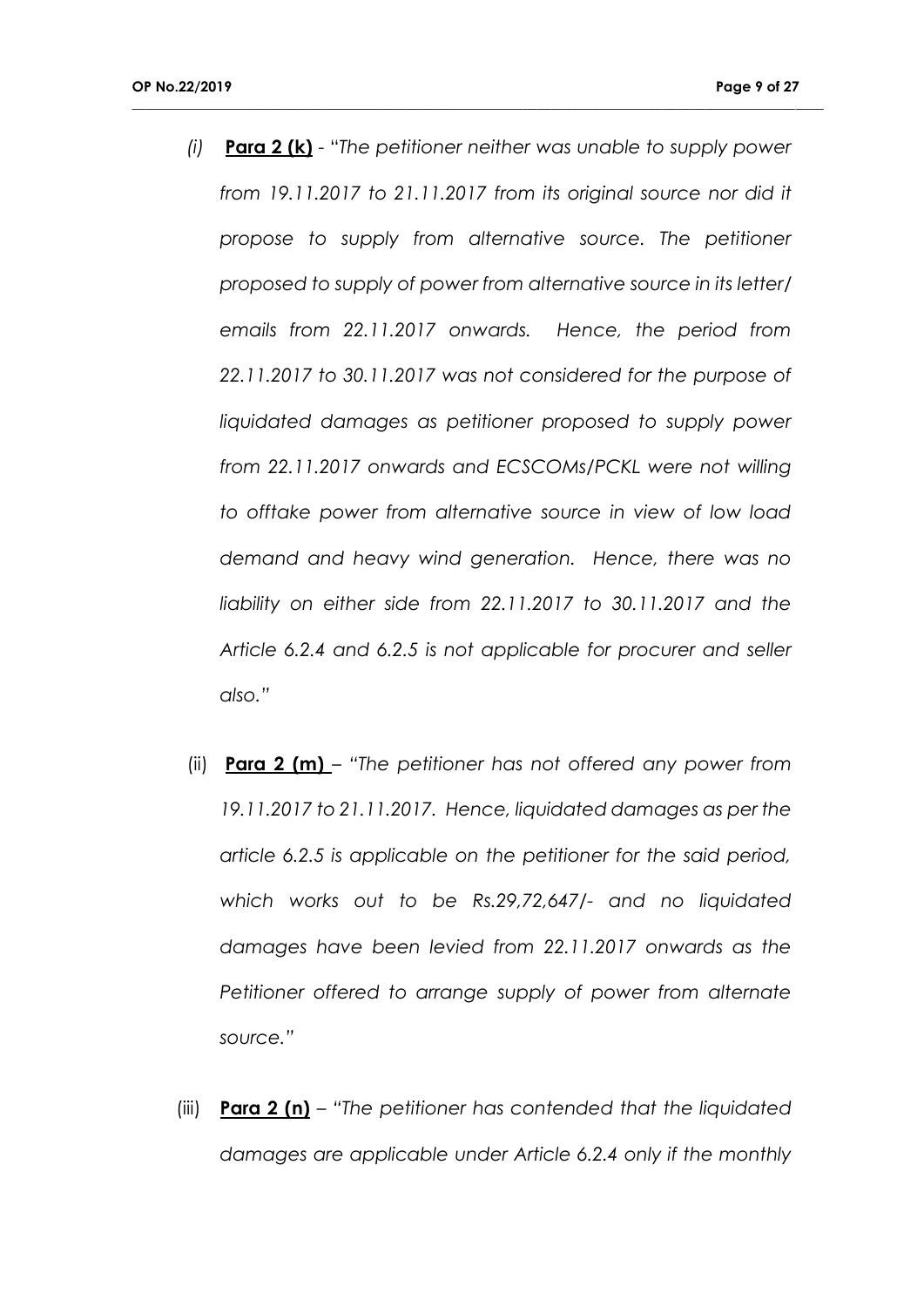*(i)* **Para 2 (k)** - "*The petitioner neither was unable to supply power from 19.11.2017 to 21.11.2017 from its original source nor did it propose to supply from alternative source. The petitioner proposed to supply of power from alternative source in its letter/ emails from 22.11.2017 onwards. Hence, the period from 22.11.2017 to 30.11.2017 was not considered for the purpose of*  liquidated damages as petitioner proposed to supply power *from 22.11.2017 onwards and ECSCOMs/PCKL were not willing to offtake power from alternative source in view of low load demand and heavy wind generation. Hence, there was no liability on either side from 22.11.2017 to 30.11.2017 and the Article 6.2.4 and 6.2.5 is not applicable for procurer and seller also."*

- (ii) **Para 2 (m)** *"The petitioner has not offered any power from 19.11.2017 to 21.11.2017. Hence, liquidated damages as per the article 6.2.5 is applicable on the petitioner for the said period, which works out to be Rs.29,72,647/- and no liquidated damages have been levied from 22.11.2017 onwards as the Petitioner offered to arrange supply of power from alternate source."*
- (iii) **Para 2 (n)** *"The petitioner has contended that the liquidated damages are applicable under Article 6.2.4 only if the monthly*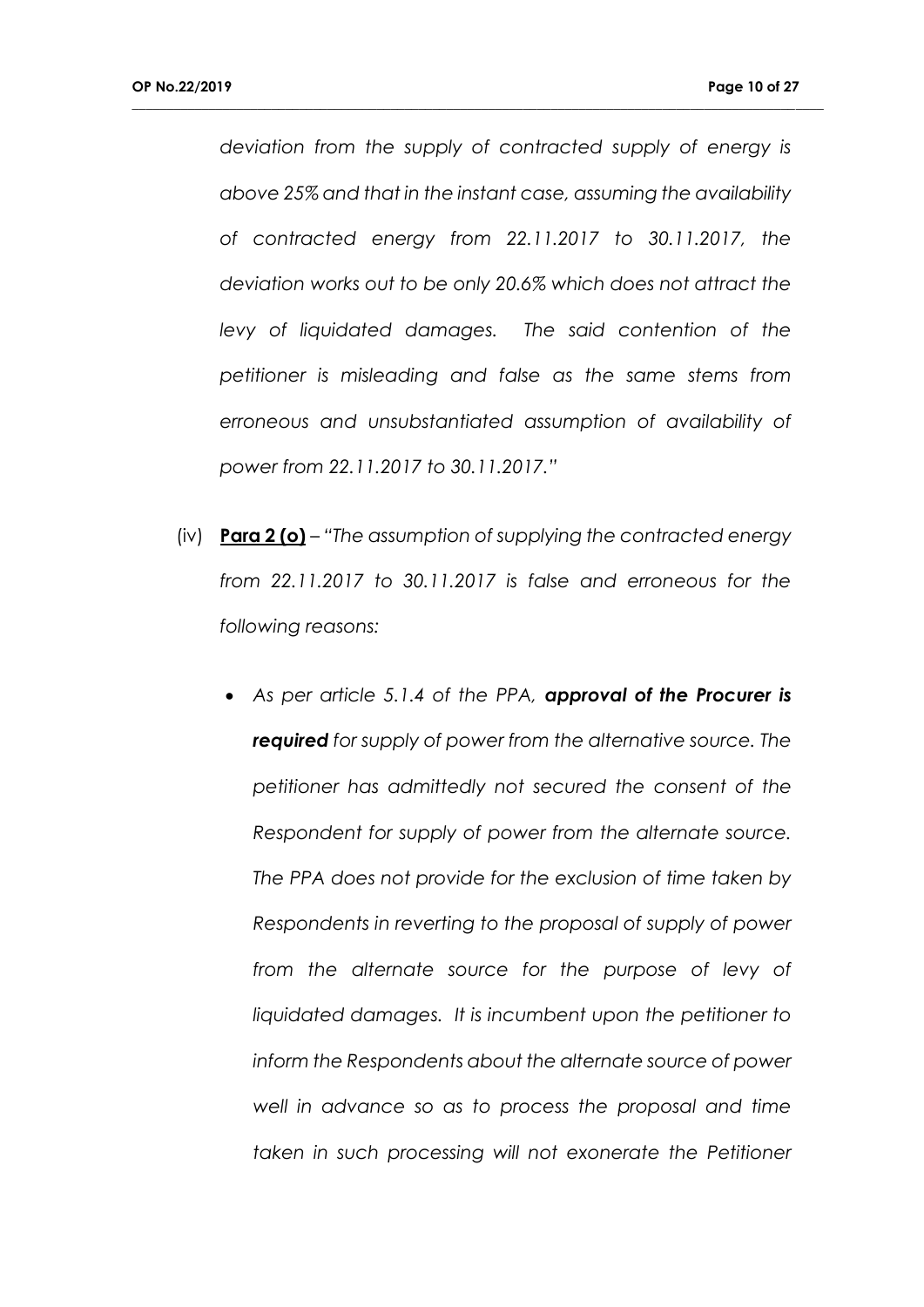*deviation from the supply of contracted supply of energy is above 25% and that in the instant case, assuming the availability of contracted energy from 22.11.2017 to 30.11.2017, the deviation works out to be only 20.6% which does not attract the levy of liquidated damages. The said contention of the petitioner is misleading and false as the same stems from erroneous and unsubstantiated assumption of availability of power from 22.11.2017 to 30.11.2017."* 

- (iv) **Para 2 (o)** *"The assumption of supplying the contracted energy from 22.11.2017 to 30.11.2017 is false and erroneous for the following reasons:*
	- *As per article 5.1.4 of the PPA, approval of the Procurer is required for supply of power from the alternative source. The petitioner has admittedly not secured the consent of the Respondent for supply of power from the alternate source. The PPA does not provide for the exclusion of time taken by Respondents in reverting to the proposal of supply of power from the alternate source for the purpose of levy of liquidated damages. It is incumbent upon the petitioner to inform the Respondents about the alternate source of power well in advance so as to process the proposal and time*  taken in such processing will not exonerate the Petitioner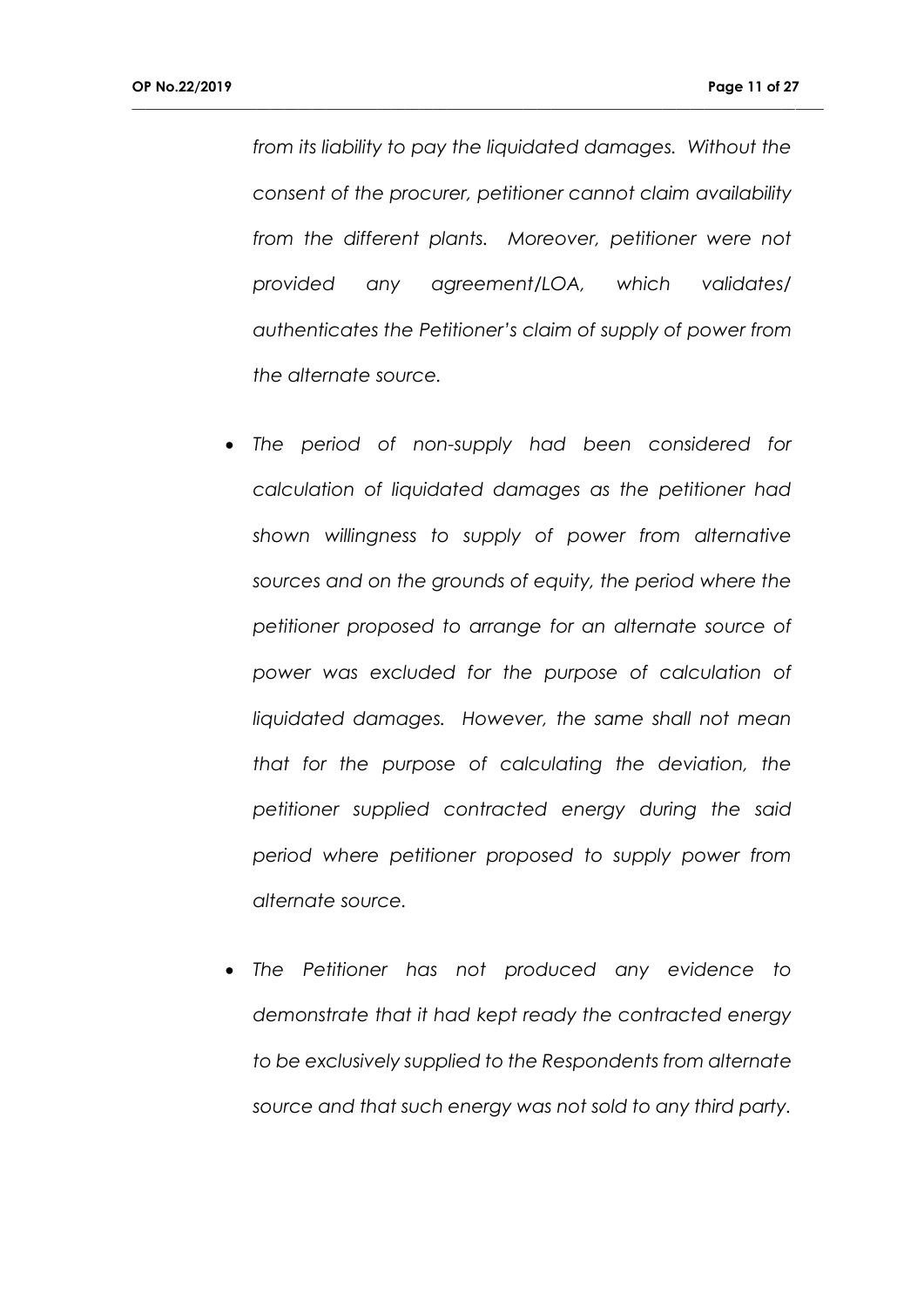*from its liability to pay the liquidated damages. Without the consent of the procurer, petitioner cannot claim availability*  from the different plants. Moreover, petitioner were not *provided any agreement/LOA, which validates/ authenticates the Petitioner's claim of supply of power from the alternate source.*

- *The period of non-supply had been considered for calculation of liquidated damages as the petitioner had shown willingness to supply of power from alternative sources and on the grounds of equity, the period where the petitioner proposed to arrange for an alternate source of power was excluded for the purpose of calculation of liquidated damages. However, the same shall not mean that for the purpose of calculating the deviation, the petitioner supplied contracted energy during the said period where petitioner proposed to supply power from alternate source.*
- *The Petitioner has not produced any evidence to demonstrate that it had kept ready the contracted energy to be exclusively supplied to the Respondents from alternate source and that such energy was not sold to any third party.*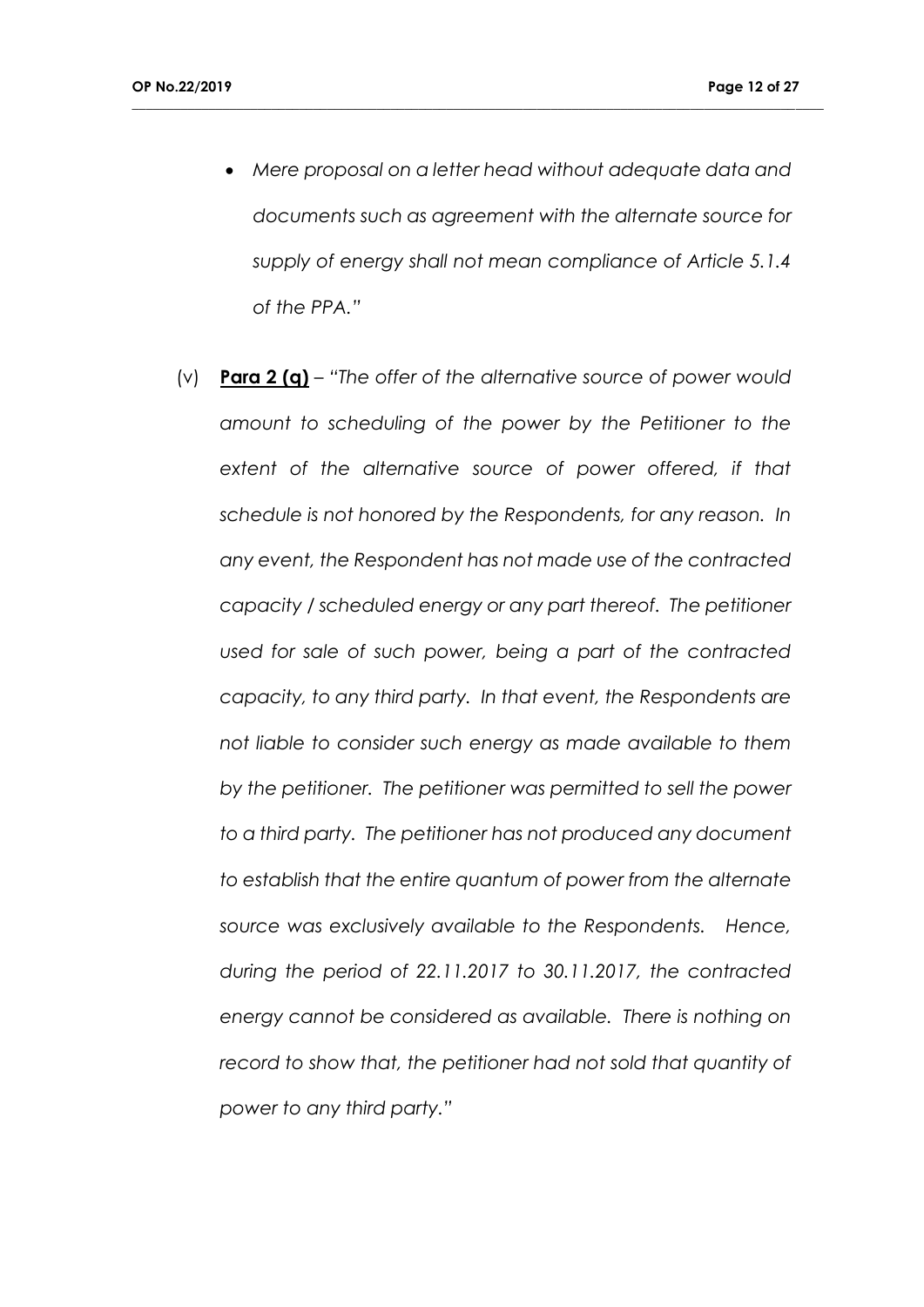*Mere proposal on a letter head without adequate data and documents such as agreement with the alternate source for supply of energy shall not mean compliance of Article 5.1.4 of the PPA."*

**\_\_\_\_\_\_\_\_\_\_\_\_\_\_\_\_\_\_\_\_\_\_\_\_\_\_\_\_\_\_\_\_\_\_\_\_\_\_\_\_\_\_\_\_\_\_\_\_\_\_\_\_\_\_\_\_\_\_\_\_\_\_\_\_\_\_\_\_\_\_\_\_\_\_\_\_\_\_\_\_\_\_\_\_\_\_\_\_\_\_\_\_\_\_\_\_\_\_\_**

(v) **Para 2 (q)** – *"The offer of the alternative source of power would amount to scheduling of the power by the Petitioner to the extent of the alternative source of power offered, if that schedule is not honored by the Respondents, for any reason. In any event, the Respondent has not made use of the contracted capacity / scheduled energy or any part thereof. The petitioner used for sale of such power, being a part of the contracted capacity, to any third party. In that event, the Respondents are not liable to consider such energy as made available to them by the petitioner. The petitioner was permitted to sell the power to a third party. The petitioner has not produced any document to establish that the entire quantum of power from the alternate source was exclusively available to the Respondents. Hence, during the period of 22.11.2017 to 30.11.2017, the contracted energy cannot be considered as available. There is nothing on record to show that, the petitioner had not sold that quantity of power to any third party."*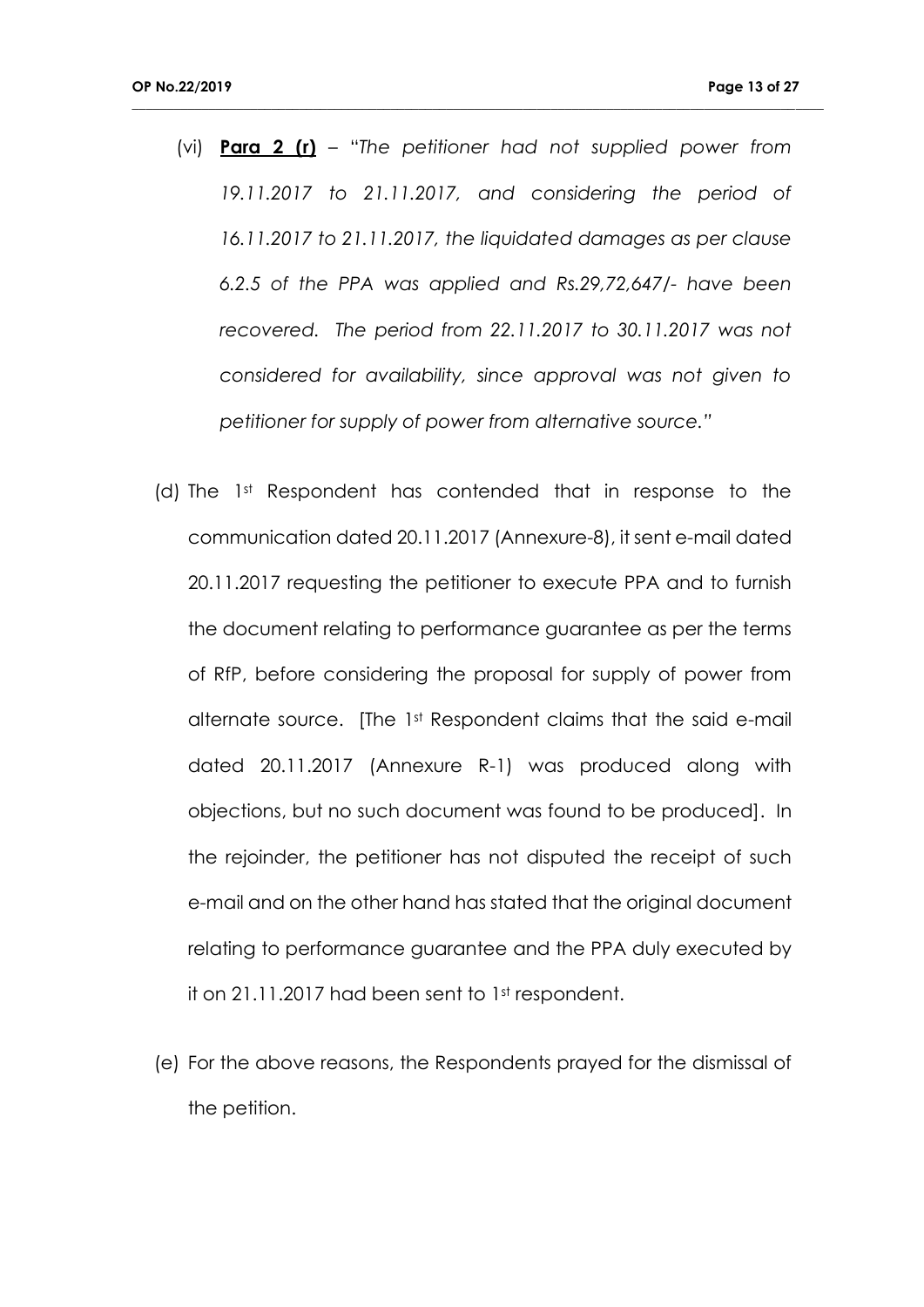(vi) **Para 2 (r)** – "*The petitioner had not supplied power from 19.11.2017 to 21.11.2017, and considering the period of 16.11.2017 to 21.11.2017, the liquidated damages as per clause 6.2.5 of the PPA was applied and Rs.29,72,647/- have been recovered. The period from 22.11.2017 to 30.11.2017 was not considered for availability, since approval was not given to petitioner for supply of power from alternative source."*

- (d) The 1st Respondent has contended that in response to the communication dated 20.11.2017 (Annexure-8), it sent e-mail dated 20.11.2017 requesting the petitioner to execute PPA and to furnish the document relating to performance guarantee as per the terms of RfP, before considering the proposal for supply of power from alternate source. [The 1st Respondent claims that the said e-mail dated 20.11.2017 (Annexure R-1) was produced along with objections, but no such document was found to be produced]. In the rejoinder, the petitioner has not disputed the receipt of such e-mail and on the other hand has stated that the original document relating to performance guarantee and the PPA duly executed by it on 21.11.2017 had been sent to 1st respondent.
- (e) For the above reasons, the Respondents prayed for the dismissal of the petition.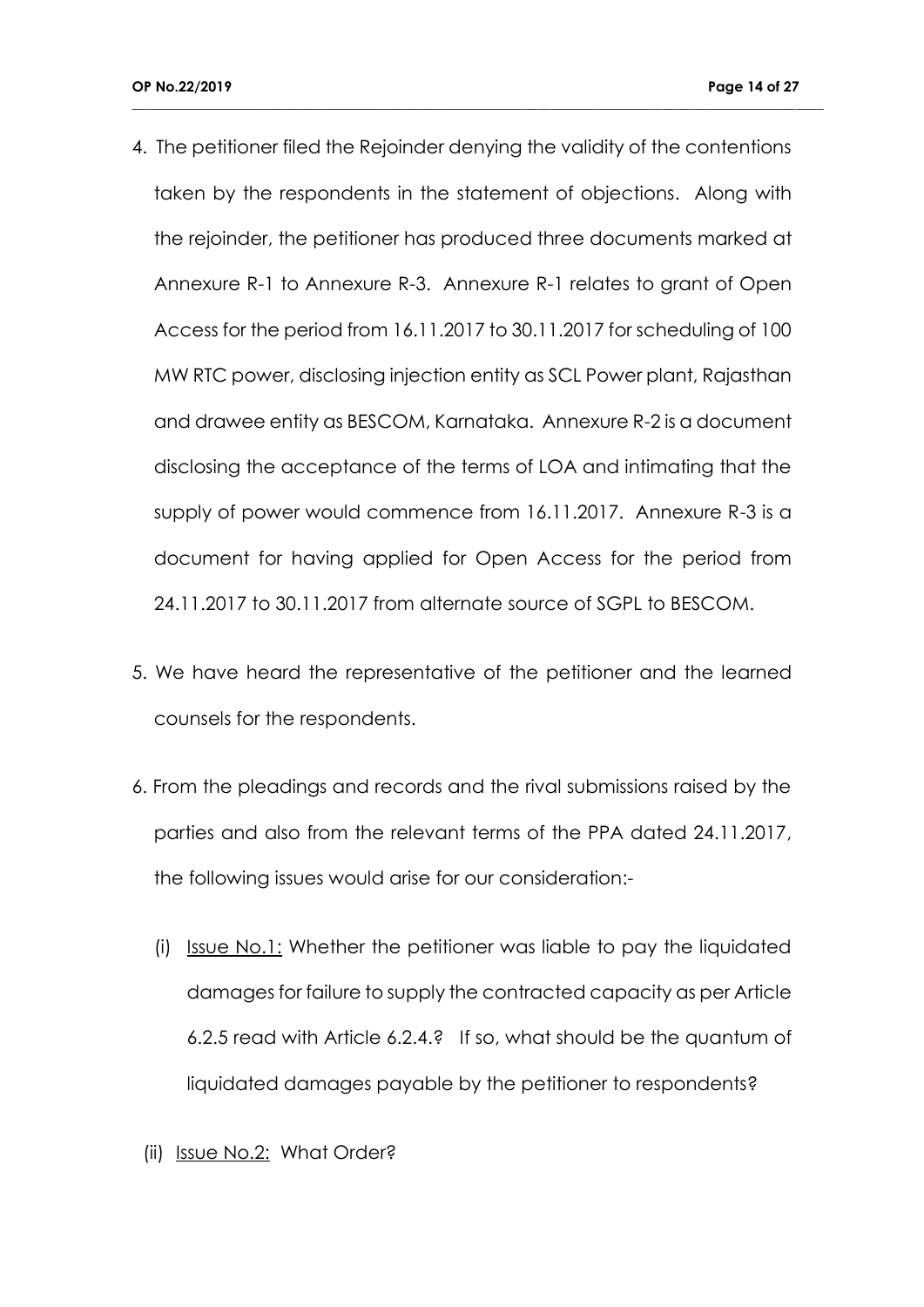4. The petitioner filed the Rejoinder denying the validity of the contentions taken by the respondents in the statement of objections. Along with the rejoinder, the petitioner has produced three documents marked at Annexure R-1 to Annexure R-3. Annexure R-1 relates to grant of Open Access for the period from 16.11.2017 to 30.11.2017 for scheduling of 100 MW RTC power, disclosing injection entity as SCL Power plant, Rajasthan and drawee entity as BESCOM, Karnataka. Annexure R-2 is a document disclosing the acceptance of the terms of LOA and intimating that the supply of power would commence from 16.11.2017. Annexure R-3 is a document for having applied for Open Access for the period from 24.11.2017 to 30.11.2017 from alternate source of SGPL to BESCOM.

- 5. We have heard the representative of the petitioner and the learned counsels for the respondents.
- 6. From the pleadings and records and the rival submissions raised by the parties and also from the relevant terms of the PPA dated 24.11.2017, the following issues would arise for our consideration:-
	- (i) Issue No.1: Whether the petitioner was liable to pay the liquidated damages for failure to supply the contracted capacity as per Article 6.2.5 read with Article 6.2.4.? If so, what should be the quantum of liquidated damages payable by the petitioner to respondents?
	- (ii) Issue No.2: What Order?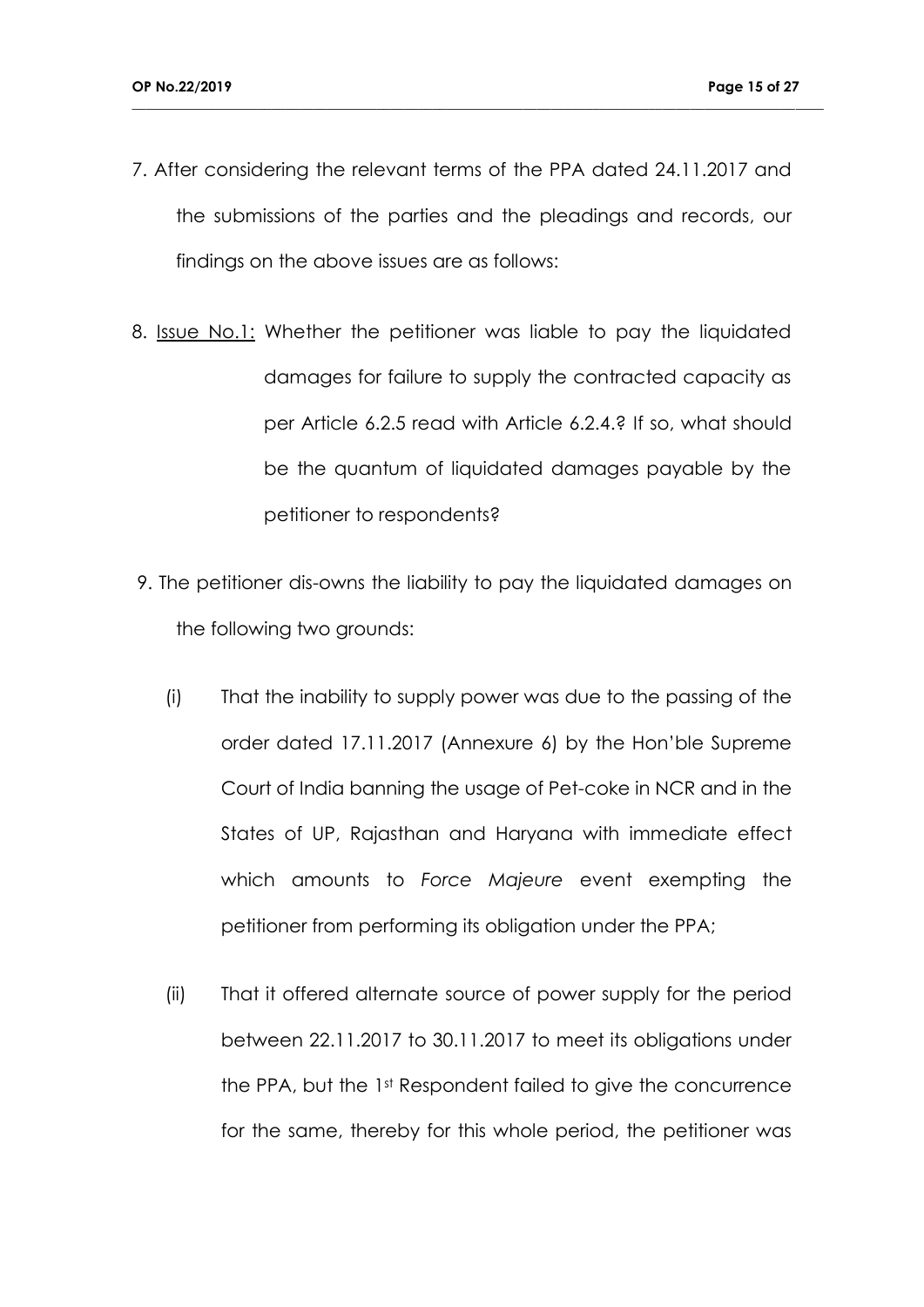7. After considering the relevant terms of the PPA dated 24.11.2017 and the submissions of the parties and the pleadings and records, our findings on the above issues are as follows:

- 8. Issue No.1: Whether the petitioner was liable to pay the liquidated damages for failure to supply the contracted capacity as per Article 6.2.5 read with Article 6.2.4.? If so, what should be the quantum of liquidated damages payable by the petitioner to respondents?
- 9. The petitioner dis-owns the liability to pay the liquidated damages on the following two grounds:
	- (i) That the inability to supply power was due to the passing of the order dated 17.11.2017 (Annexure 6) by the Hon'ble Supreme Court of India banning the usage of Pet-coke in NCR and in the States of UP, Rajasthan and Haryana with immediate effect which amounts to *Force Majeure* event exempting the petitioner from performing its obligation under the PPA;
	- (ii) That it offered alternate source of power supply for the period between 22.11.2017 to 30.11.2017 to meet its obligations under the PPA, but the 1st Respondent failed to give the concurrence for the same, thereby for this whole period, the petitioner was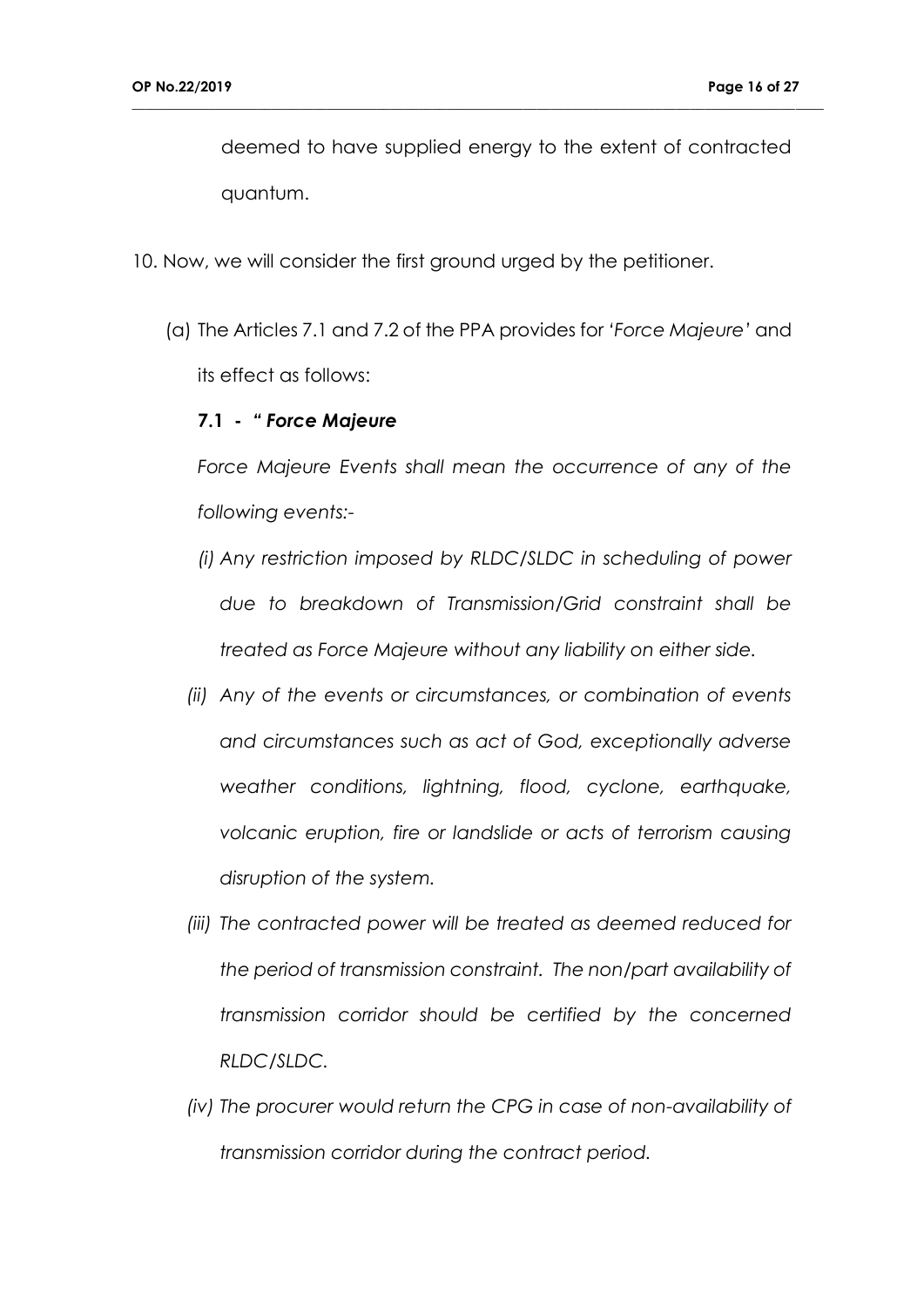deemed to have supplied energy to the extent of contracted quantum.

**\_\_\_\_\_\_\_\_\_\_\_\_\_\_\_\_\_\_\_\_\_\_\_\_\_\_\_\_\_\_\_\_\_\_\_\_\_\_\_\_\_\_\_\_\_\_\_\_\_\_\_\_\_\_\_\_\_\_\_\_\_\_\_\_\_\_\_\_\_\_\_\_\_\_\_\_\_\_\_\_\_\_\_\_\_\_\_\_\_\_\_\_\_\_\_\_\_\_\_**

- 10. Now, we will consider the first ground urged by the petitioner.
	- (a) The Articles 7.1 and 7.2 of the PPA provides for *'Force Majeure'* and its effect as follows:

### **7.1 -** *" Force Majeure*

*Force Majeure Events shall mean the occurrence of any of the following events:-*

- *(i) Any restriction imposed by RLDC/SLDC in scheduling of power due to breakdown of Transmission/Grid constraint shall be treated as Force Majeure without any liability on either side.*
- *(ii) Any of the events or circumstances, or combination of events and circumstances such as act of God, exceptionally adverse weather conditions, lightning, flood, cyclone, earthquake, volcanic eruption, fire or landslide or acts of terrorism causing disruption of the system.*
- *(iii) The contracted power will be treated as deemed reduced for the period of transmission constraint. The non/part availability of transmission corridor should be certified by the concerned RLDC/SLDC.*
- *(iv) The procurer would return the CPG in case of non-availability of transmission corridor during the contract period.*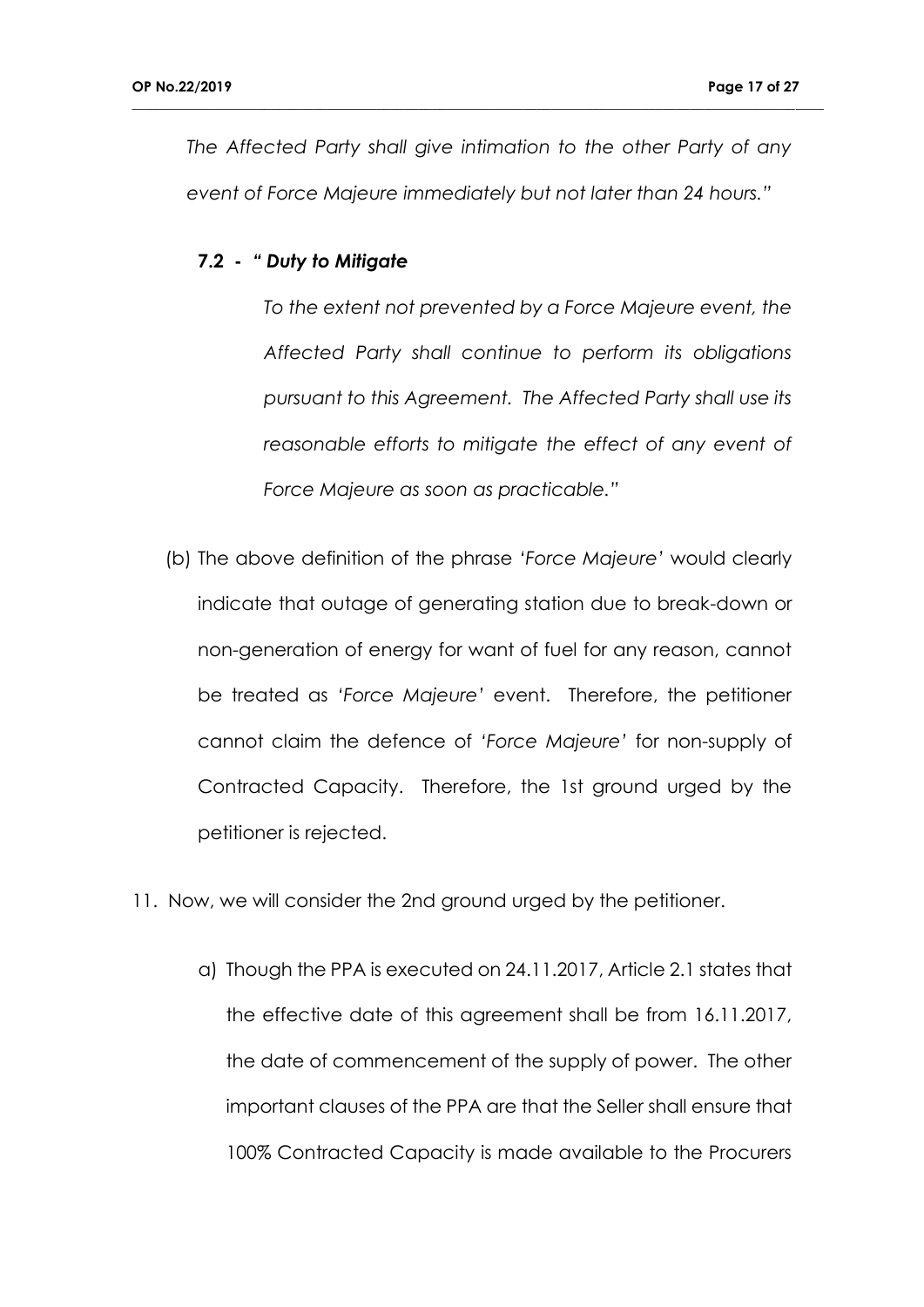*The Affected Party shall give intimation to the other Party of any event of Force Majeure immediately but not later than 24 hours."*

**\_\_\_\_\_\_\_\_\_\_\_\_\_\_\_\_\_\_\_\_\_\_\_\_\_\_\_\_\_\_\_\_\_\_\_\_\_\_\_\_\_\_\_\_\_\_\_\_\_\_\_\_\_\_\_\_\_\_\_\_\_\_\_\_\_\_\_\_\_\_\_\_\_\_\_\_\_\_\_\_\_\_\_\_\_\_\_\_\_\_\_\_\_\_\_\_\_\_\_**

#### **7.2 -** *" Duty to Mitigate*

*To the extent not prevented by a Force Majeure event, the Affected Party shall continue to perform its obligations pursuant to this Agreement. The Affected Party shall use its reasonable efforts to mitigate the effect of any event of Force Majeure as soon as practicable."*

- (b) The above definition of the phrase *'Force Majeure'* would clearly indicate that outage of generating station due to break-down or non-generation of energy for want of fuel for any reason, cannot be treated as *'Force Majeure'* event. Therefore, the petitioner cannot claim the defence of *'Force Majeure'* for non-supply of Contracted Capacity. Therefore, the 1st ground urged by the petitioner is rejected.
- 11. Now, we will consider the 2nd ground urged by the petitioner.
	- a) Though the PPA is executed on 24.11.2017, Article 2.1 states that the effective date of this agreement shall be from 16.11.2017, the date of commencement of the supply of power. The other important clauses of the PPA are that the Seller shall ensure that 100% Contracted Capacity is made available to the Procurers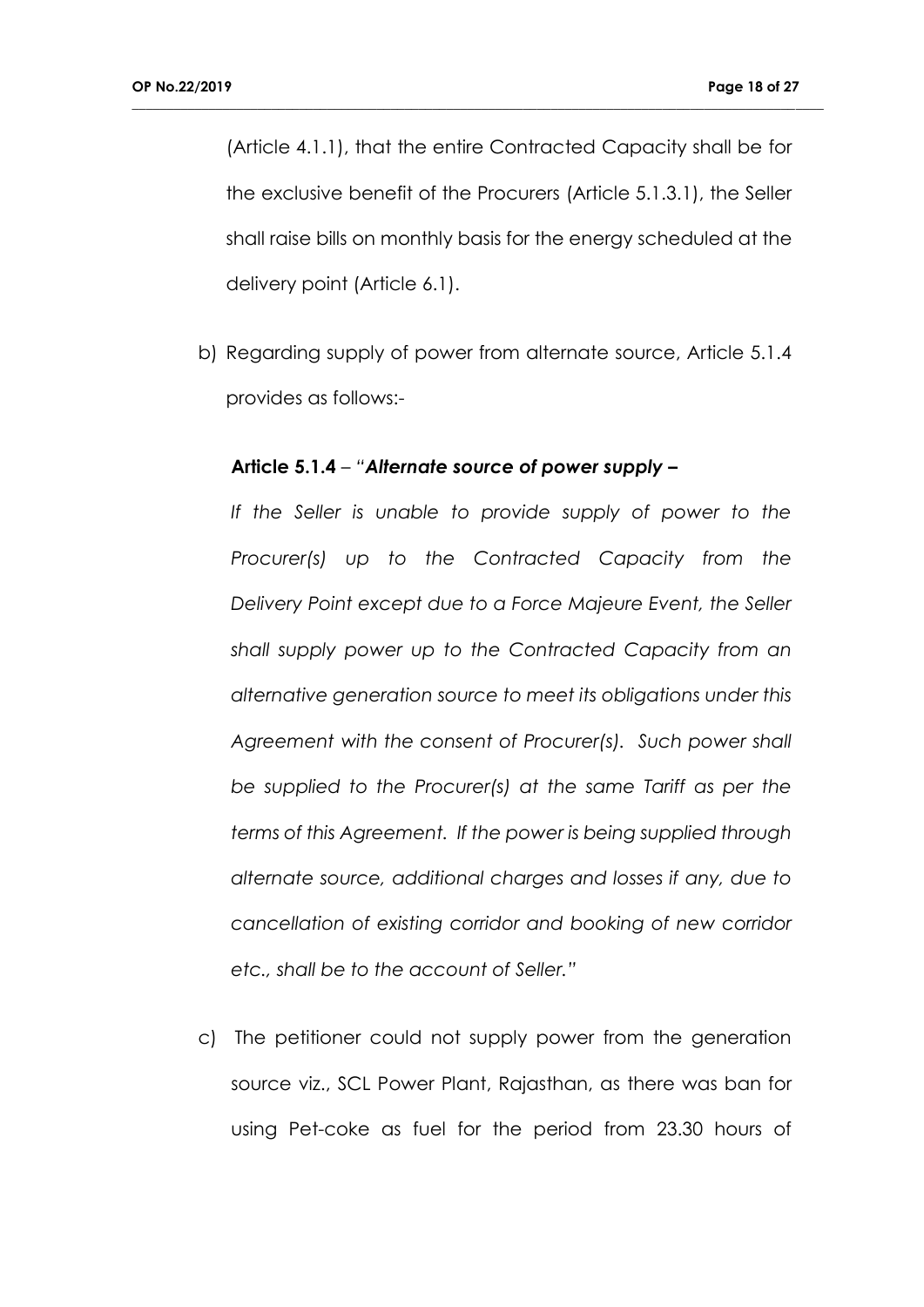(Article 4.1.1), that the entire Contracted Capacity shall be for the exclusive benefit of the Procurers (Article 5.1.3.1), the Seller shall raise bills on monthly basis for the energy scheduled at the delivery point (Article 6.1).

**\_\_\_\_\_\_\_\_\_\_\_\_\_\_\_\_\_\_\_\_\_\_\_\_\_\_\_\_\_\_\_\_\_\_\_\_\_\_\_\_\_\_\_\_\_\_\_\_\_\_\_\_\_\_\_\_\_\_\_\_\_\_\_\_\_\_\_\_\_\_\_\_\_\_\_\_\_\_\_\_\_\_\_\_\_\_\_\_\_\_\_\_\_\_\_\_\_\_\_**

b) Regarding supply of power from alternate source, Article 5.1.4 provides as follows:-

## **Article 5.1.4** – *"Alternate source of power supply –*

If the Seller is unable to provide supply of power to the *Procurer(s) up to the Contracted Capacity from the Delivery Point except due to a Force Majeure Event, the Seller shall supply power up to the Contracted Capacity from an alternative generation source to meet its obligations under this Agreement with the consent of Procurer(s). Such power shall be supplied to the Procurer(s) at the same Tariff as per the terms of this Agreement. If the power is being supplied through alternate source, additional charges and losses if any, due to cancellation of existing corridor and booking of new corridor etc., shall be to the account of Seller."*

c) The petitioner could not supply power from the generation source viz., SCL Power Plant, Rajasthan, as there was ban for using Pet-coke as fuel for the period from 23.30 hours of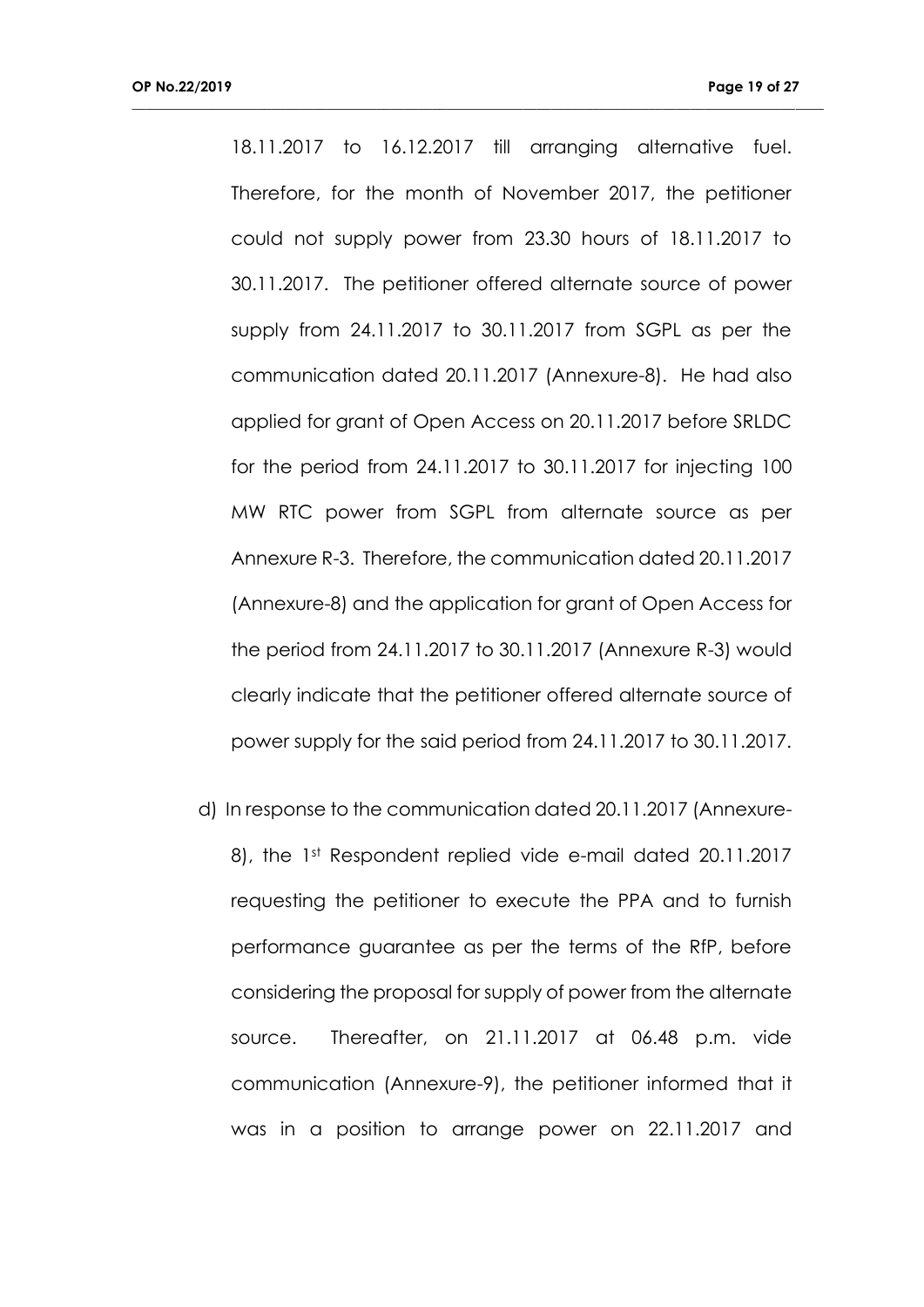18.11.2017 to 16.12.2017 till arranging alternative fuel. Therefore, for the month of November 2017, the petitioner could not supply power from 23.30 hours of 18.11.2017 to 30.11.2017. The petitioner offered alternate source of power supply from 24.11.2017 to 30.11.2017 from SGPL as per the communication dated 20.11.2017 (Annexure-8). He had also applied for grant of Open Access on 20.11.2017 before SRLDC for the period from 24.11.2017 to 30.11.2017 for injecting 100 MW RTC power from SGPL from alternate source as per Annexure R-3. Therefore, the communication dated 20.11.2017 (Annexure-8) and the application for grant of Open Access for the period from 24.11.2017 to 30.11.2017 (Annexure R-3) would clearly indicate that the petitioner offered alternate source of power supply for the said period from 24.11.2017 to 30.11.2017.

**\_\_\_\_\_\_\_\_\_\_\_\_\_\_\_\_\_\_\_\_\_\_\_\_\_\_\_\_\_\_\_\_\_\_\_\_\_\_\_\_\_\_\_\_\_\_\_\_\_\_\_\_\_\_\_\_\_\_\_\_\_\_\_\_\_\_\_\_\_\_\_\_\_\_\_\_\_\_\_\_\_\_\_\_\_\_\_\_\_\_\_\_\_\_\_\_\_\_\_**

d) In response to the communication dated 20.11.2017 (Annexure-8), the 1st Respondent replied vide e-mail dated 20.11.2017 requesting the petitioner to execute the PPA and to furnish performance guarantee as per the terms of the RfP, before considering the proposal for supply of power from the alternate source. Thereafter, on 21.11.2017 at 06.48 p.m. vide communication (Annexure-9), the petitioner informed that it was in a position to arrange power on 22.11.2017 and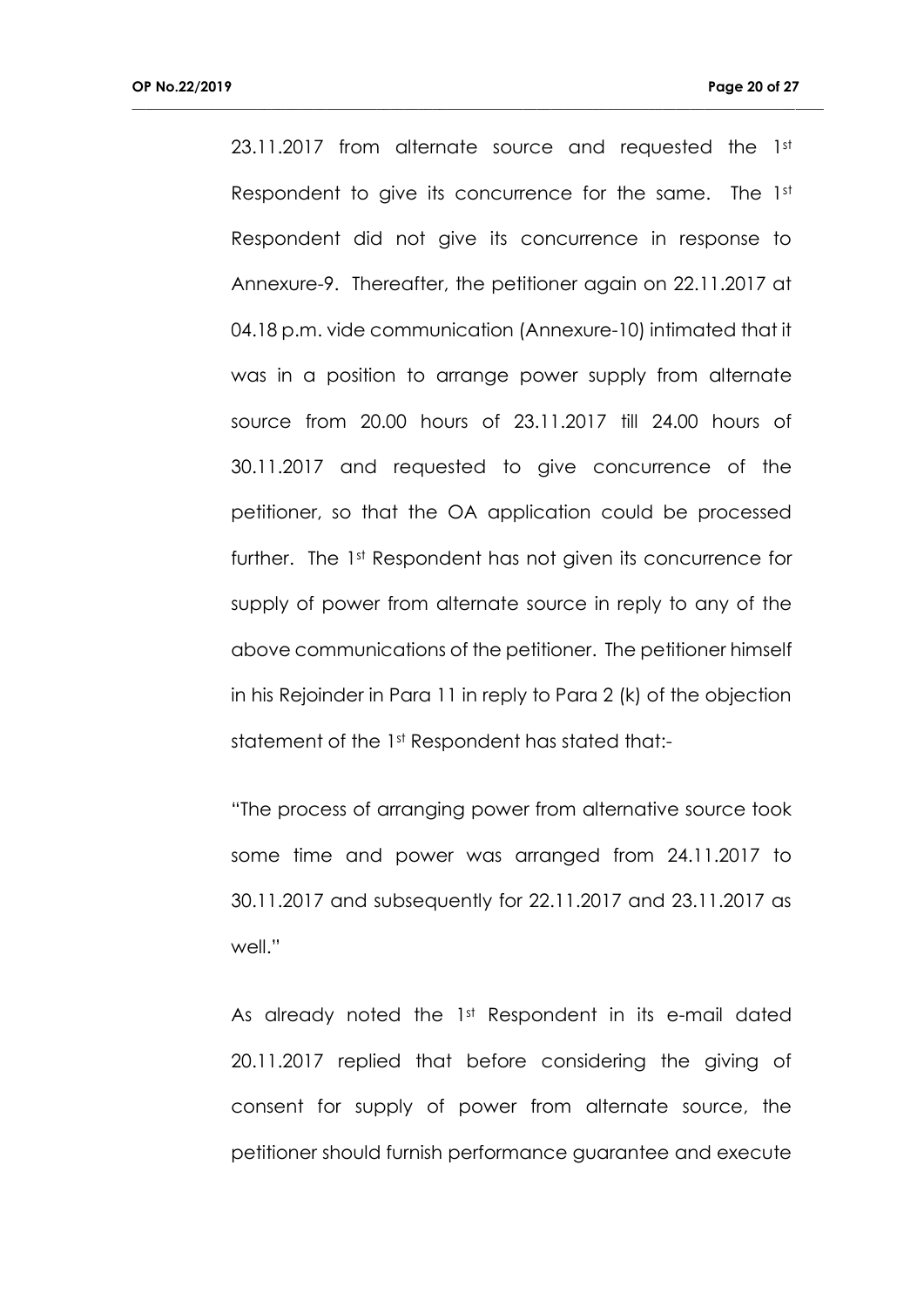23.11.2017 from alternate source and requested the 1st Respondent to give its concurrence for the same. The 1st Respondent did not give its concurrence in response to Annexure-9. Thereafter, the petitioner again on 22.11.2017 at 04.18 p.m. vide communication (Annexure-10) intimated that it was in a position to arrange power supply from alternate source from 20.00 hours of 23.11.2017 till 24.00 hours of 30.11.2017 and requested to give concurrence of the petitioner, so that the OA application could be processed further. The 1st Respondent has not given its concurrence for supply of power from alternate source in reply to any of the above communications of the petitioner. The petitioner himself in his Rejoinder in Para 11 in reply to Para 2 (k) of the objection statement of the 1st Respondent has stated that:-

**\_\_\_\_\_\_\_\_\_\_\_\_\_\_\_\_\_\_\_\_\_\_\_\_\_\_\_\_\_\_\_\_\_\_\_\_\_\_\_\_\_\_\_\_\_\_\_\_\_\_\_\_\_\_\_\_\_\_\_\_\_\_\_\_\_\_\_\_\_\_\_\_\_\_\_\_\_\_\_\_\_\_\_\_\_\_\_\_\_\_\_\_\_\_\_\_\_\_\_**

"The process of arranging power from alternative source took some time and power was arranged from 24.11.2017 to 30.11.2017 and subsequently for 22.11.2017 and 23.11.2017 as well."

As already noted the 1st Respondent in its e-mail dated 20.11.2017 replied that before considering the giving of consent for supply of power from alternate source, the petitioner should furnish performance guarantee and execute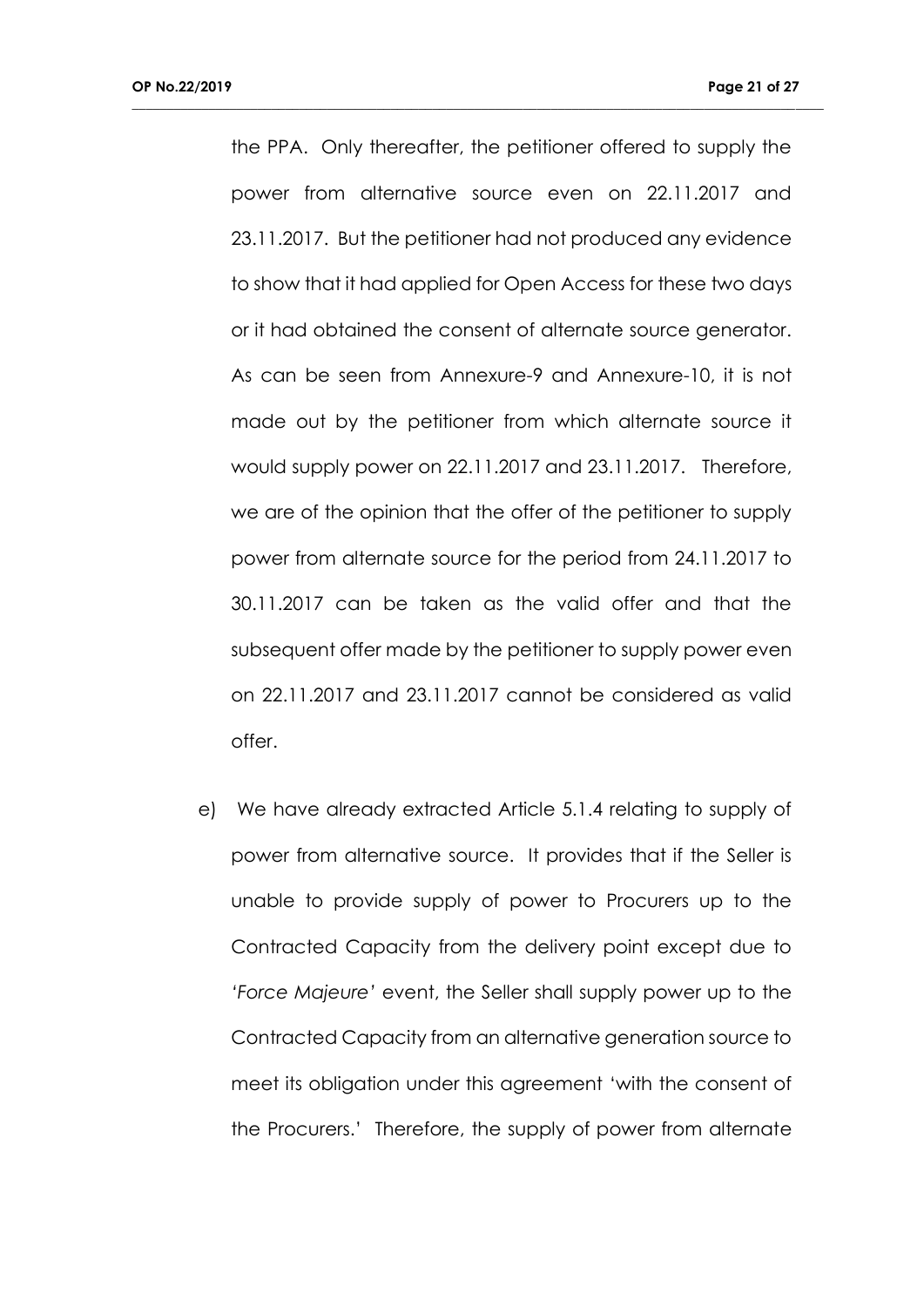the PPA. Only thereafter, the petitioner offered to supply the power from alternative source even on 22.11.2017 and 23.11.2017. But the petitioner had not produced any evidence to show that it had applied for Open Access for these two days or it had obtained the consent of alternate source generator. As can be seen from Annexure-9 and Annexure-10, it is not made out by the petitioner from which alternate source it would supply power on 22.11.2017 and 23.11.2017. Therefore, we are of the opinion that the offer of the petitioner to supply power from alternate source for the period from 24.11.2017 to 30.11.2017 can be taken as the valid offer and that the subsequent offer made by the petitioner to supply power even on 22.11.2017 and 23.11.2017 cannot be considered as valid offer.

**\_\_\_\_\_\_\_\_\_\_\_\_\_\_\_\_\_\_\_\_\_\_\_\_\_\_\_\_\_\_\_\_\_\_\_\_\_\_\_\_\_\_\_\_\_\_\_\_\_\_\_\_\_\_\_\_\_\_\_\_\_\_\_\_\_\_\_\_\_\_\_\_\_\_\_\_\_\_\_\_\_\_\_\_\_\_\_\_\_\_\_\_\_\_\_\_\_\_\_**

e) We have already extracted Article 5.1.4 relating to supply of power from alternative source. It provides that if the Seller is unable to provide supply of power to Procurers up to the Contracted Capacity from the delivery point except due to *'Force Majeure'* event, the Seller shall supply power up to the Contracted Capacity from an alternative generation source to meet its obligation under this agreement 'with the consent of the Procurers.' Therefore, the supply of power from alternate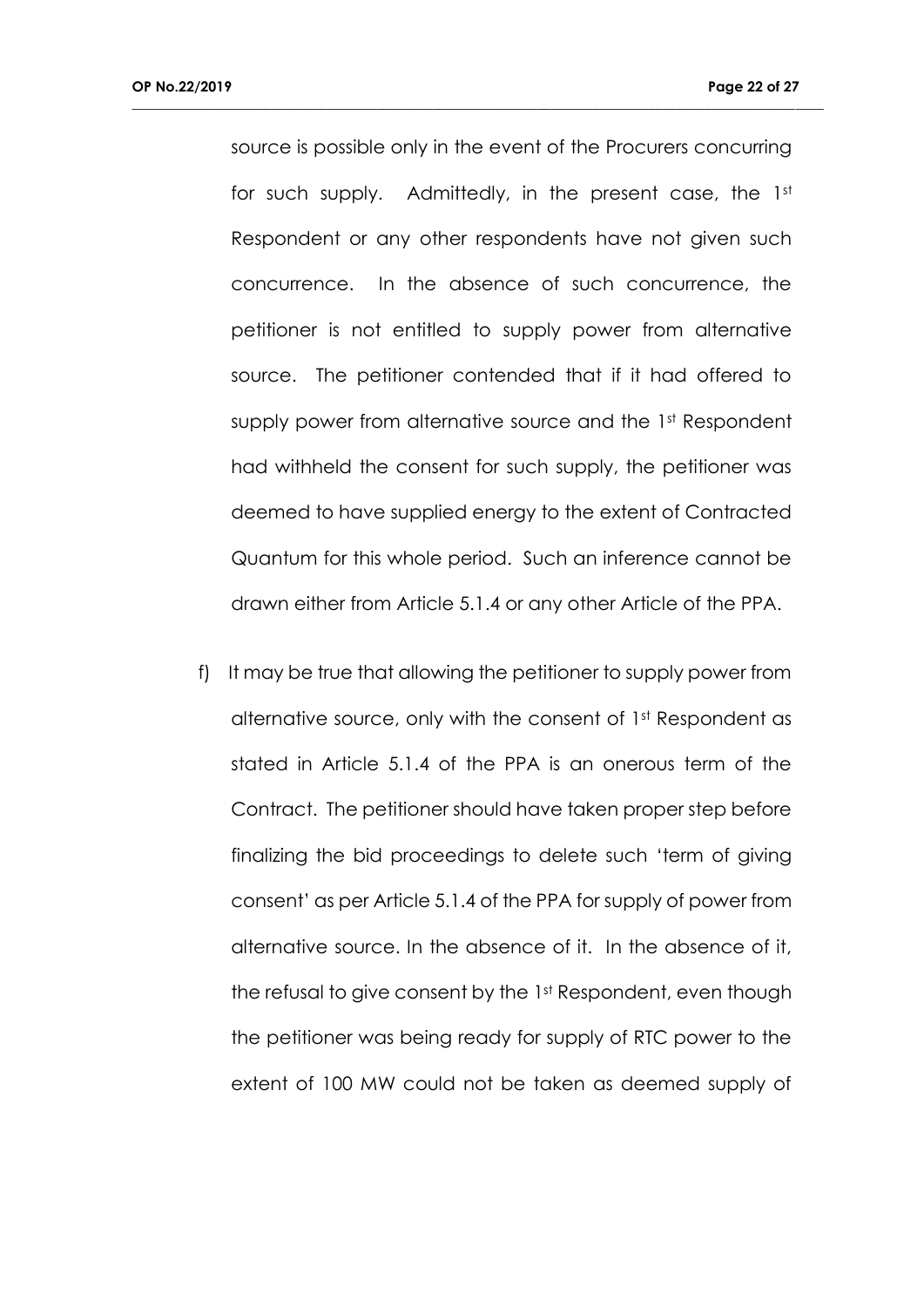source is possible only in the event of the Procurers concurring for such supply. Admittedly, in the present case, the 1st Respondent or any other respondents have not given such concurrence. In the absence of such concurrence, the petitioner is not entitled to supply power from alternative source. The petitioner contended that if it had offered to supply power from alternative source and the 1st Respondent had withheld the consent for such supply, the petitioner was deemed to have supplied energy to the extent of Contracted Quantum for this whole period. Such an inference cannot be drawn either from Article 5.1.4 or any other Article of the PPA.

**\_\_\_\_\_\_\_\_\_\_\_\_\_\_\_\_\_\_\_\_\_\_\_\_\_\_\_\_\_\_\_\_\_\_\_\_\_\_\_\_\_\_\_\_\_\_\_\_\_\_\_\_\_\_\_\_\_\_\_\_\_\_\_\_\_\_\_\_\_\_\_\_\_\_\_\_\_\_\_\_\_\_\_\_\_\_\_\_\_\_\_\_\_\_\_\_\_\_\_**

f) It may be true that allowing the petitioner to supply power from alternative source, only with the consent of 1st Respondent as stated in Article 5.1.4 of the PPA is an onerous term of the Contract. The petitioner should have taken proper step before finalizing the bid proceedings to delete such 'term of giving consent' as per Article 5.1.4 of the PPA for supply of power from alternative source. In the absence of it. In the absence of it, the refusal to give consent by the 1st Respondent, even though the petitioner was being ready for supply of RTC power to the extent of 100 MW could not be taken as deemed supply of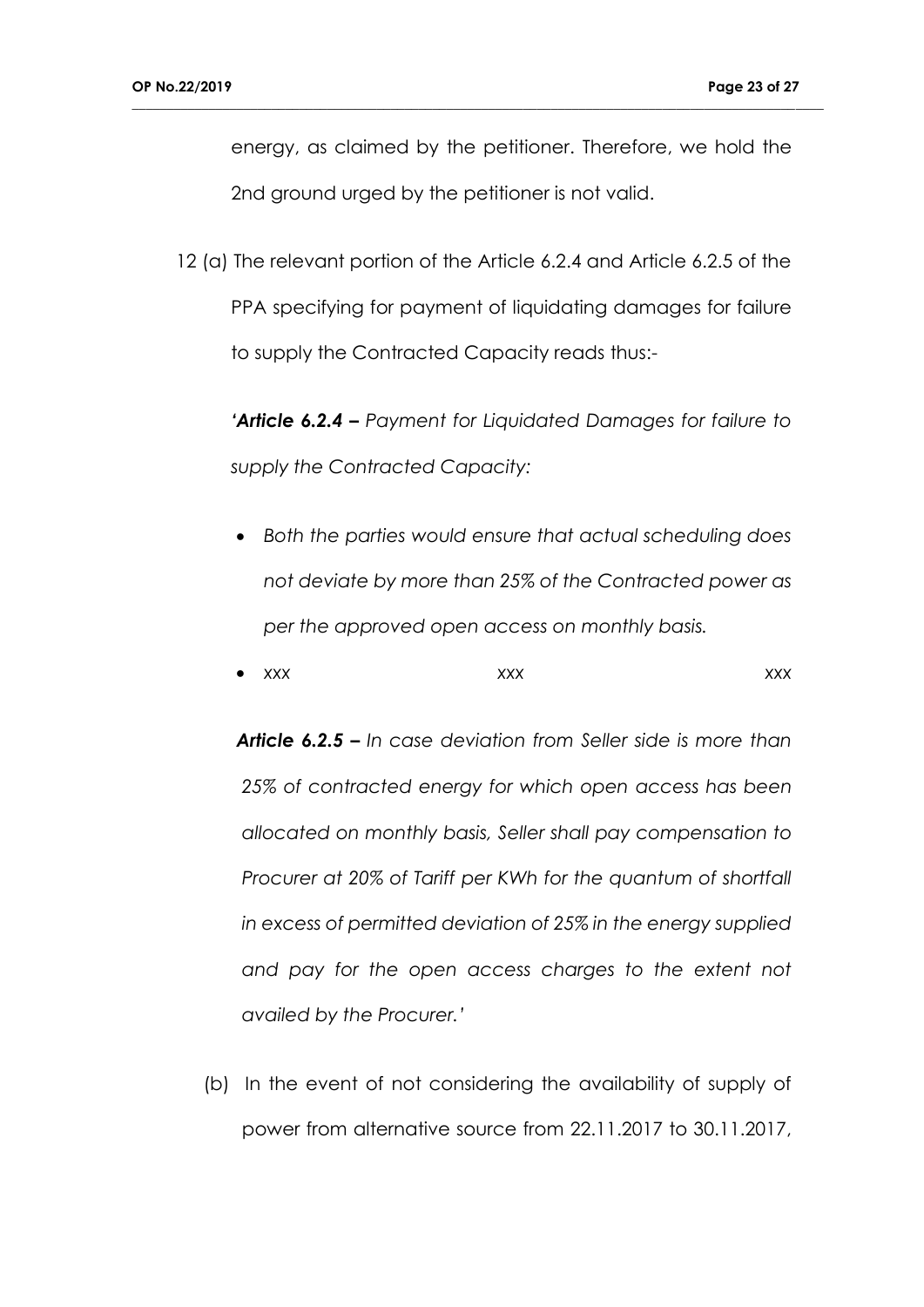energy, as claimed by the petitioner. Therefore, we hold the 2nd ground urged by the petitioner is not valid.

**\_\_\_\_\_\_\_\_\_\_\_\_\_\_\_\_\_\_\_\_\_\_\_\_\_\_\_\_\_\_\_\_\_\_\_\_\_\_\_\_\_\_\_\_\_\_\_\_\_\_\_\_\_\_\_\_\_\_\_\_\_\_\_\_\_\_\_\_\_\_\_\_\_\_\_\_\_\_\_\_\_\_\_\_\_\_\_\_\_\_\_\_\_\_\_\_\_\_\_**

12 (a) The relevant portion of the Article 6.2.4 and Article 6.2.5 of the PPA specifying for payment of liquidating damages for failure to supply the Contracted Capacity reads thus:-

*'Article 6.2.4 – Payment for Liquidated Damages for failure to supply the Contracted Capacity:*

- *Both the parties would ensure that actual scheduling does not deviate by more than 25% of the Contracted power as per the approved open access on monthly basis.*
- *xxx xxx xxx xxx xxx*

*Article 6.2.5 – In case deviation from Seller side is more than 25% of contracted energy for which open access has been allocated on monthly basis, Seller shall pay compensation to Procurer at 20% of Tariff per KWh for the quantum of shortfall in excess of permitted deviation of 25% in the energy supplied and pay for the open access charges to the extent not availed by the Procurer.'*

(b) In the event of not considering the availability of supply of power from alternative source from 22.11.2017 to 30.11.2017,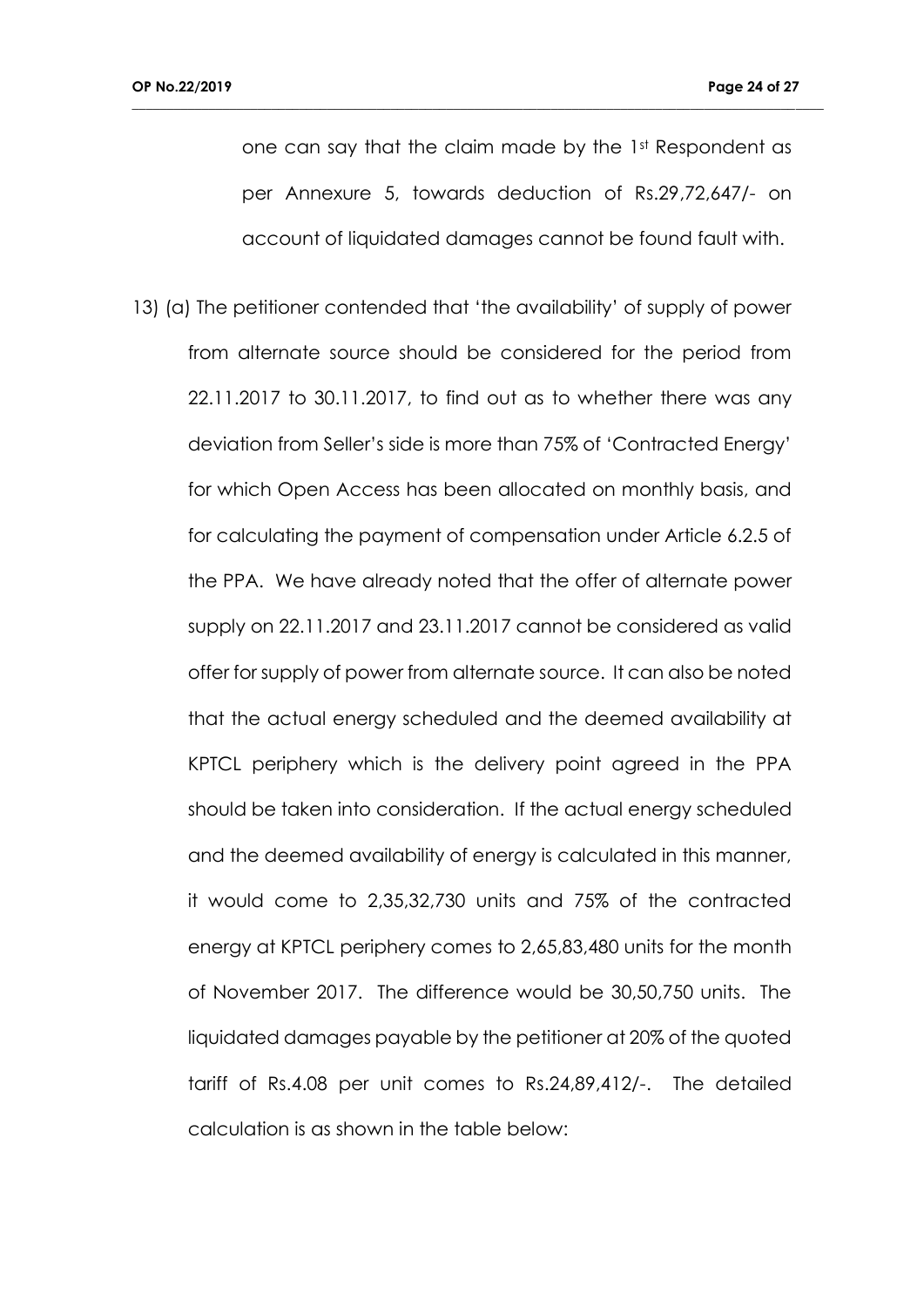one can say that the claim made by the 1st Respondent as per Annexure 5, towards deduction of Rs.29,72,647/- on account of liquidated damages cannot be found fault with.

**\_\_\_\_\_\_\_\_\_\_\_\_\_\_\_\_\_\_\_\_\_\_\_\_\_\_\_\_\_\_\_\_\_\_\_\_\_\_\_\_\_\_\_\_\_\_\_\_\_\_\_\_\_\_\_\_\_\_\_\_\_\_\_\_\_\_\_\_\_\_\_\_\_\_\_\_\_\_\_\_\_\_\_\_\_\_\_\_\_\_\_\_\_\_\_\_\_\_\_**

13) (a) The petitioner contended that 'the availability' of supply of power from alternate source should be considered for the period from 22.11.2017 to 30.11.2017, to find out as to whether there was any deviation from Seller's side is more than 75% of 'Contracted Energy' for which Open Access has been allocated on monthly basis, and for calculating the payment of compensation under Article 6.2.5 of the PPA. We have already noted that the offer of alternate power supply on 22.11.2017 and 23.11.2017 cannot be considered as valid offer for supply of power from alternate source. It can also be noted that the actual energy scheduled and the deemed availability at KPTCL periphery which is the delivery point agreed in the PPA should be taken into consideration. If the actual energy scheduled and the deemed availability of energy is calculated in this manner, it would come to 2,35,32,730 units and 75% of the contracted energy at KPTCL periphery comes to 2,65,83,480 units for the month of November 2017. The difference would be 30,50,750 units. The liquidated damages payable by the petitioner at 20% of the quoted tariff of Rs.4.08 per unit comes to Rs.24,89,412/-. The detailed calculation is as shown in the table below: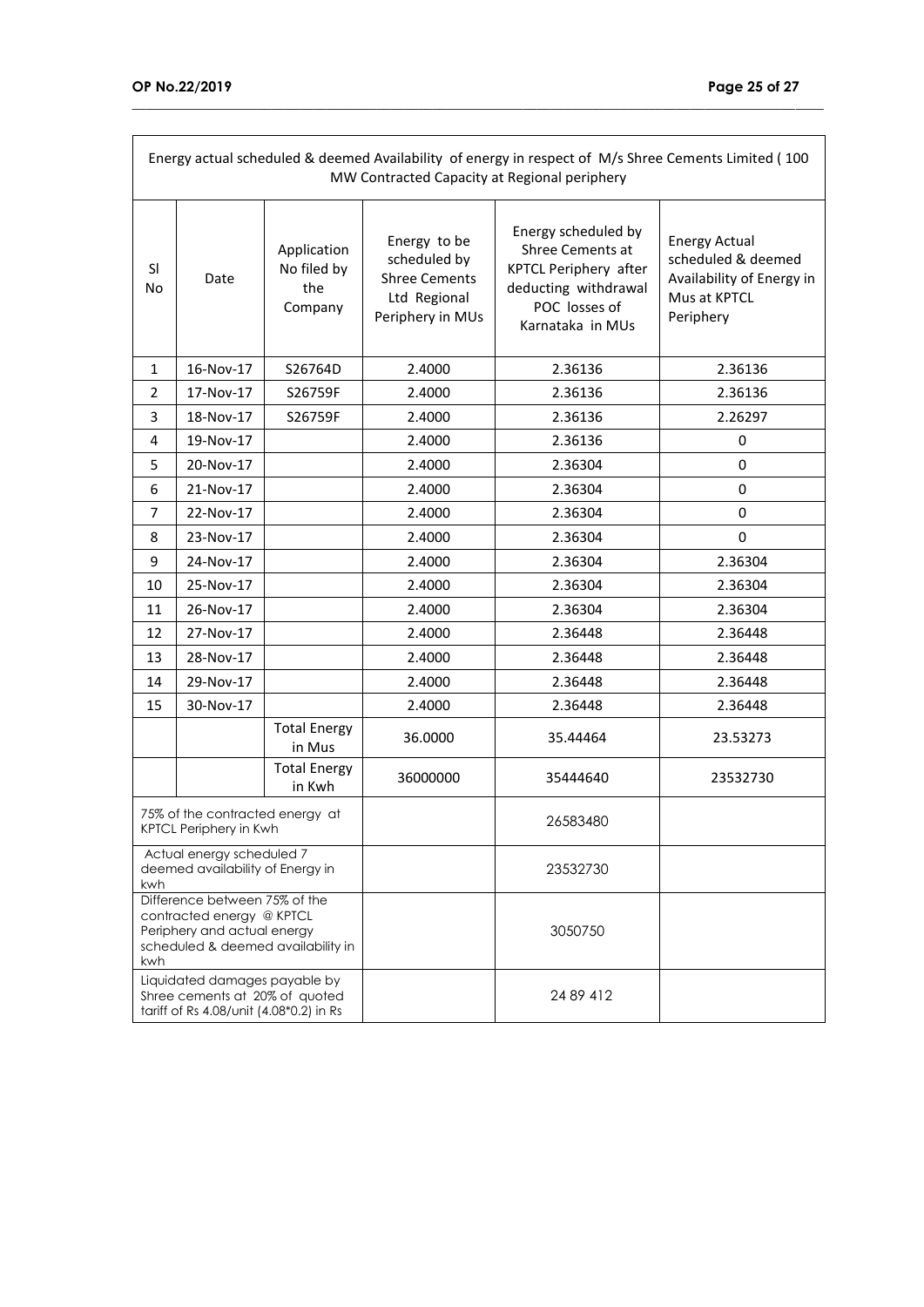| Energy actual scheduled & deemed Availability of energy in respect of M/s Shree Cements Limited (100<br>MW Contracted Capacity at Regional periphery |           |                                              |                                                                                          |                                                                                                                               |                                                                                                      |  |
|------------------------------------------------------------------------------------------------------------------------------------------------------|-----------|----------------------------------------------|------------------------------------------------------------------------------------------|-------------------------------------------------------------------------------------------------------------------------------|------------------------------------------------------------------------------------------------------|--|
| <sub>SI</sub><br>No                                                                                                                                  | Date      | Application<br>No filed by<br>the<br>Company | Energy to be<br>scheduled by<br><b>Shree Cements</b><br>Ltd Regional<br>Periphery in MUs | Energy scheduled by<br>Shree Cements at<br>KPTCL Periphery after<br>deducting withdrawal<br>POC losses of<br>Karnataka in MUs | <b>Energy Actual</b><br>scheduled & deemed<br>Availability of Energy in<br>Mus at KPTCL<br>Periphery |  |
| 1                                                                                                                                                    | 16-Nov-17 | S26764D                                      | 2.4000                                                                                   | 2.36136                                                                                                                       | 2.36136                                                                                              |  |
| $\overline{2}$                                                                                                                                       | 17-Nov-17 | S26759F                                      | 2.4000                                                                                   | 2.36136                                                                                                                       | 2.36136                                                                                              |  |
| 3                                                                                                                                                    | 18-Nov-17 | S26759F                                      | 2.4000                                                                                   | 2.36136                                                                                                                       | 2.26297                                                                                              |  |
| 4                                                                                                                                                    | 19-Nov-17 |                                              | 2.4000                                                                                   | 2.36136                                                                                                                       | 0                                                                                                    |  |
| 5                                                                                                                                                    | 20-Nov-17 |                                              | 2.4000                                                                                   | 2.36304                                                                                                                       | 0                                                                                                    |  |
| 6                                                                                                                                                    | 21-Nov-17 |                                              | 2.4000                                                                                   | 2.36304                                                                                                                       | 0                                                                                                    |  |
| 7                                                                                                                                                    | 22-Nov-17 |                                              | 2.4000                                                                                   | 2.36304                                                                                                                       | 0                                                                                                    |  |
| 8                                                                                                                                                    | 23-Nov-17 |                                              | 2.4000                                                                                   | 2.36304                                                                                                                       | 0                                                                                                    |  |
| 9                                                                                                                                                    | 24-Nov-17 |                                              | 2.4000                                                                                   | 2.36304                                                                                                                       | 2.36304                                                                                              |  |
| 10                                                                                                                                                   | 25-Nov-17 |                                              | 2.4000                                                                                   | 2.36304                                                                                                                       | 2.36304                                                                                              |  |
| 11                                                                                                                                                   | 26-Nov-17 |                                              | 2.4000                                                                                   | 2.36304                                                                                                                       | 2.36304                                                                                              |  |
| 12                                                                                                                                                   | 27-Nov-17 |                                              | 2.4000                                                                                   | 2.36448                                                                                                                       | 2.36448                                                                                              |  |
| 13                                                                                                                                                   | 28-Nov-17 |                                              | 2.4000                                                                                   | 2.36448                                                                                                                       | 2.36448                                                                                              |  |
| 14                                                                                                                                                   | 29-Nov-17 |                                              | 2.4000                                                                                   | 2.36448                                                                                                                       | 2.36448                                                                                              |  |
| 15                                                                                                                                                   | 30-Nov-17 |                                              | 2.4000                                                                                   | 2.36448                                                                                                                       | 2.36448                                                                                              |  |
|                                                                                                                                                      |           | <b>Total Energy</b><br>in Mus                | 36.0000                                                                                  | 35.44464                                                                                                                      | 23.53273                                                                                             |  |
|                                                                                                                                                      |           | <b>Total Energy</b><br>in Kwh                | 36000000                                                                                 | 35444640                                                                                                                      | 23532730                                                                                             |  |
| 75% of the contracted energy at<br>KPTCL Periphery in Kwh                                                                                            |           |                                              | 26583480                                                                                 |                                                                                                                               |                                                                                                      |  |
| Actual energy scheduled 7<br>deemed availability of Energy in<br>kwh                                                                                 |           |                                              | 23532730                                                                                 |                                                                                                                               |                                                                                                      |  |
| Difference between 75% of the<br>contracted energy @ KPTCL<br>Periphery and actual energy<br>scheduled & deemed availability in<br>kwh               |           |                                              | 3050750                                                                                  |                                                                                                                               |                                                                                                      |  |
| Liquidated damages payable by<br>Shree cements at 20% of quoted<br>tariff of Rs 4.08/unit (4.08*0.2) in Rs                                           |           |                                              | 24 89 412                                                                                |                                                                                                                               |                                                                                                      |  |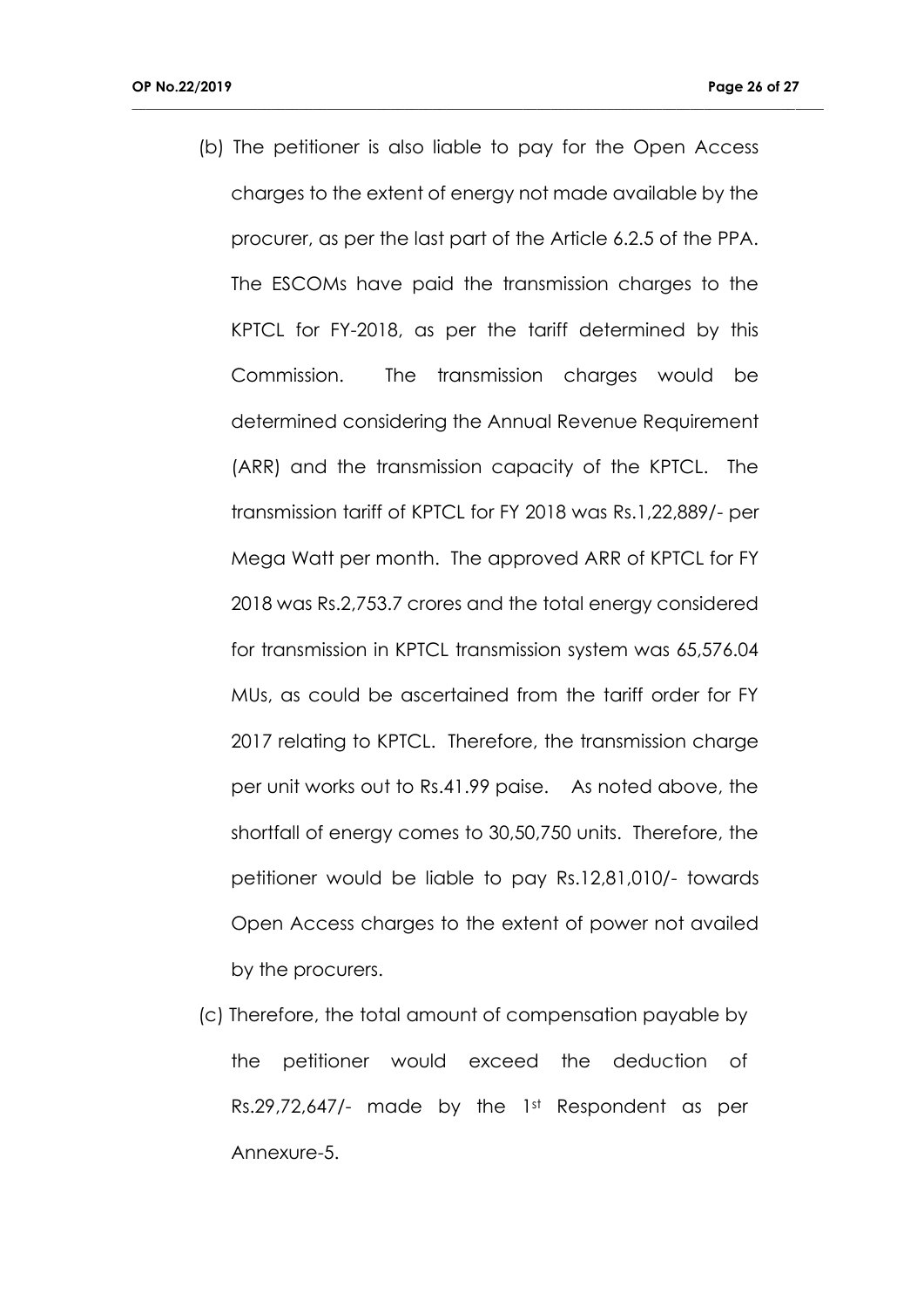(b) The petitioner is also liable to pay for the Open Access charges to the extent of energy not made available by the procurer, as per the last part of the Article 6.2.5 of the PPA. The ESCOMs have paid the transmission charges to the KPTCL for FY-2018, as per the tariff determined by this Commission. The transmission charges would be determined considering the Annual Revenue Requirement (ARR) and the transmission capacity of the KPTCL. The transmission tariff of KPTCL for FY 2018 was Rs.1,22,889/- per Mega Watt per month. The approved ARR of KPTCL for FY 2018 was Rs.2,753.7 crores and the total energy considered for transmission in KPTCL transmission system was 65,576.04 MUs, as could be ascertained from the tariff order for FY 2017 relating to KPTCL. Therefore, the transmission charge per unit works out to Rs.41.99 paise. As noted above, the shortfall of energy comes to 30,50,750 units. Therefore, the petitioner would be liable to pay Rs.12,81,010/- towards Open Access charges to the extent of power not availed by the procurers.

**\_\_\_\_\_\_\_\_\_\_\_\_\_\_\_\_\_\_\_\_\_\_\_\_\_\_\_\_\_\_\_\_\_\_\_\_\_\_\_\_\_\_\_\_\_\_\_\_\_\_\_\_\_\_\_\_\_\_\_\_\_\_\_\_\_\_\_\_\_\_\_\_\_\_\_\_\_\_\_\_\_\_\_\_\_\_\_\_\_\_\_\_\_\_\_\_\_\_\_**

(c) Therefore, the total amount of compensation payable by the petitioner would exceed the deduction of Rs.29,72,647/- made by the 1st Respondent as per Annexure-5.